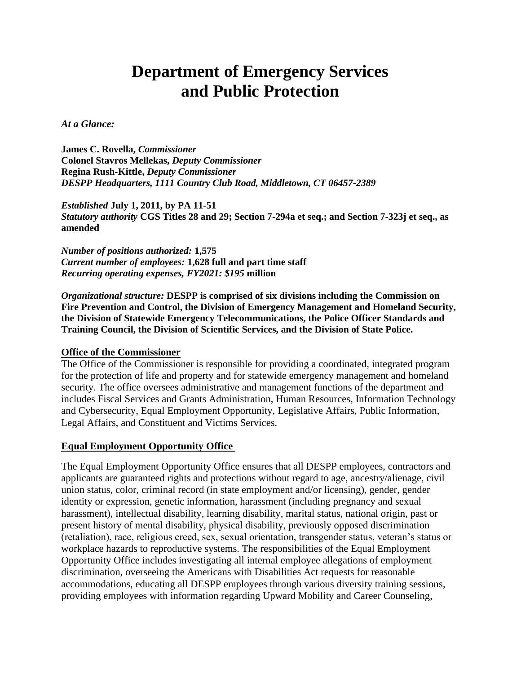# **Department of Emergency Services and Public Protection**

#### *At a Glance:*

**James C. Rovella,** *Commissioner*  **Colonel Stavros Mellekas,** *Deputy Commissioner*  **Regina Rush-Kittle,** *Deputy Commissioner DESPP Headquarters, 1111 Country Club Road, Middletown, CT 06457-2389* 

*Established* **July 1, 2011, by PA 11-51**  *Statutory authority* **CGS Titles 28 and 29; Section 7-294a et seq.; and Section 7-323j et seq., as amended** 

*Number of positions authorized:* **1,575** *Current number of employees:* **1,628 full and part time staff** *Recurring operating expenses, FY2021: \$195* **million**

*Organizational structure:* **DESPP is comprised of six divisions including the Commission on Fire Prevention and Control, the Division of Emergency Management and Homeland Security, the Division of Statewide Emergency Telecommunications, the Police Officer Standards and Training Council, the Division of Scientific Services, and the Division of State Police.** 

#### **Office of the Commissioner**

The Office of the Commissioner is responsible for providing a coordinated, integrated program for the protection of life and property and for statewide emergency management and homeland security. The office oversees administrative and management functions of the department and includes Fiscal Services and Grants Administration, Human Resources, Information Technology and Cybersecurity, Equal Employment Opportunity, Legislative Affairs, Public Information, Legal Affairs, and Constituent and Victims Services.

#### **Equal Employment Opportunity Office**

The Equal Employment Opportunity Office ensures that all DESPP employees, contractors and applicants are guaranteed rights and protections without regard to age, ancestry/alienage, civil union status, color, criminal record (in state employment and/or licensing), gender, gender identity or expression, genetic information, harassment (including pregnancy and sexual harassment), intellectual disability, learning disability, marital status, national origin, past or present history of mental disability, physical disability, previously opposed discrimination (retaliation), race, religious creed, sex, sexual orientation, transgender status, veteran's status or workplace hazards to reproductive systems. The responsibilities of the Equal Employment Opportunity Office includes investigating all internal employee allegations of employment discrimination, overseeing the Americans with Disabilities Act requests for reasonable accommodations, educating all DESPP employees through various diversity training sessions, providing employees with information regarding Upward Mobility and Career Counseling,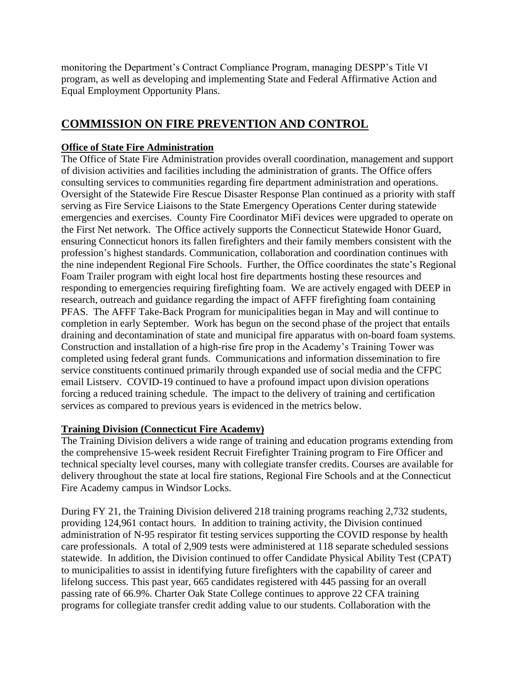monitoring the Department's Contract Compliance Program, managing DESPP's Title VI program, as well as developing and implementing State and Federal Affirmative Action and Equal Employment Opportunity Plans.

# **COMMISSION ON FIRE PREVENTION AND CONTROL**

# **Office of State Fire Administration**

The Office of State Fire Administration provides overall coordination, management and support of division activities and facilities including the administration of grants. The Office offers consulting services to communities regarding fire department administration and operations. Oversight of the Statewide Fire Rescue Disaster Response Plan continued as a priority with staff serving as Fire Service Liaisons to the State Emergency Operations Center during statewide emergencies and exercises. County Fire Coordinator MiFi devices were upgraded to operate on the First Net network. The Office actively supports the Connecticut Statewide Honor Guard, ensuring Connecticut honors its fallen firefighters and their family members consistent with the profession's highest standards. Communication, collaboration and coordination continues with the nine independent Regional Fire Schools. Further, the Office coordinates the state's Regional Foam Trailer program with eight local host fire departments hosting these resources and responding to emergencies requiring firefighting foam. We are actively engaged with DEEP in research, outreach and guidance regarding the impact of AFFF firefighting foam containing PFAS. The AFFF Take-Back Program for municipalities began in May and will continue to completion in early September. Work has begun on the second phase of the project that entails draining and decontamination of state and municipal fire apparatus with on-board foam systems. Construction and installation of a high-rise fire prop in the Academy's Training Tower was completed using federal grant funds. Communications and information dissemination to fire service constituents continued primarily through expanded use of social media and the CFPC email Listserv. COVID-19 continued to have a profound impact upon division operations forcing a reduced training schedule. The impact to the delivery of training and certification services as compared to previous years is evidenced in the metrics below.

# **Training Division (Connecticut Fire Academy)**

The Training Division delivers a wide range of training and education programs extending from the comprehensive 15-week resident Recruit Firefighter Training program to Fire Officer and technical specialty level courses, many with collegiate transfer credits. Courses are available for delivery throughout the state at local fire stations, Regional Fire Schools and at the Connecticut Fire Academy campus in Windsor Locks.

During FY 21, the Training Division delivered 218 training programs reaching 2,732 students, providing 124,961 contact hours. In addition to training activity, the Division continued administration of N-95 respirator fit testing services supporting the COVID response by health care professionals. A total of 2,909 tests were administered at 118 separate scheduled sessions statewide. In addition, the Division continued to offer Candidate Physical Ability Test (CPAT) to municipalities to assist in identifying future firefighters with the capability of career and lifelong success. This past year, 665 candidates registered with 445 passing for an overall passing rate of 66.9%. Charter Oak State College continues to approve 22 CFA training programs for collegiate transfer credit adding value to our students. Collaboration with the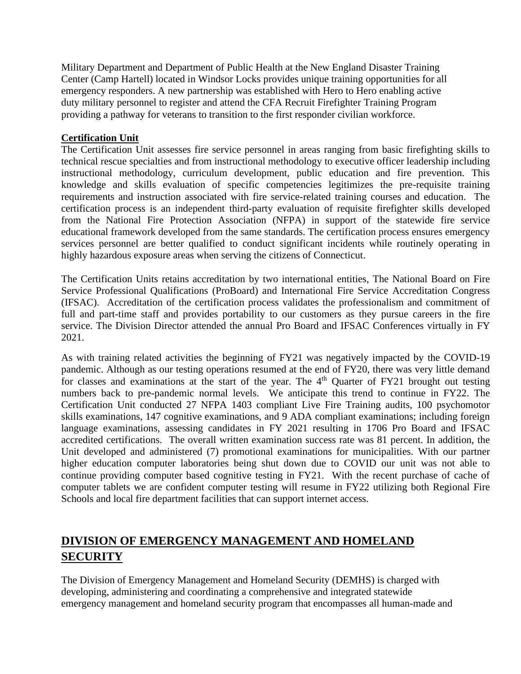Military Department and Department of Public Health at the New England Disaster Training Center (Camp Hartell) located in Windsor Locks provides unique training opportunities for all emergency responders. A new partnership was established with Hero to Hero enabling active duty military personnel to register and attend the CFA Recruit Firefighter Training Program providing a pathway for veterans to transition to the first responder civilian workforce.

# **Certification Unit**

The Certification Unit assesses fire service personnel in areas ranging from basic firefighting skills to technical rescue specialties and from instructional methodology to executive officer leadership including instructional methodology, curriculum development, public education and fire prevention. This knowledge and skills evaluation of specific competencies legitimizes the pre-requisite training requirements and instruction associated with fire service-related training courses and education. The certification process is an independent third-party evaluation of requisite firefighter skills developed from the National Fire Protection Association (NFPA) in support of the statewide fire service educational framework developed from the same standards. The certification process ensures emergency services personnel are better qualified to conduct significant incidents while routinely operating in highly hazardous exposure areas when serving the citizens of Connecticut.

The Certification Units retains accreditation by two international entities, The National Board on Fire Service Professional Qualifications (ProBoard) and International Fire Service Accreditation Congress (IFSAC). Accreditation of the certification process validates the professionalism and commitment of full and part-time staff and provides portability to our customers as they pursue careers in the fire service. The Division Director attended the annual Pro Board and IFSAC Conferences virtually in FY 2021.

As with training related activities the beginning of FY21 was negatively impacted by the COVID-19 pandemic. Although as our testing operations resumed at the end of FY20, there was very little demand for classes and examinations at the start of the year. The  $4<sup>th</sup>$  Quarter of FY21 brought out testing numbers back to pre-pandemic normal levels. We anticipate this trend to continue in FY22. The Certification Unit conducted 27 NFPA 1403 compliant Live Fire Training audits, 100 psychomotor skills examinations, 147 cognitive examinations, and 9 ADA compliant examinations; including foreign language examinations, assessing candidates in FY 2021 resulting in 1706 Pro Board and IFSAC accredited certifications. The overall written examination success rate was 81 percent. In addition, the Unit developed and administered (7) promotional examinations for municipalities. With our partner higher education computer laboratories being shut down due to COVID our unit was not able to continue providing computer based cognitive testing in FY21. With the recent purchase of cache of computer tablets we are confident computer testing will resume in FY22 utilizing both Regional Fire Schools and local fire department facilities that can support internet access.

# **DIVISION OF EMERGENCY MANAGEMENT AND HOMELAND SECURITY**

The Division of Emergency Management and Homeland Security (DEMHS) is charged with developing, administering and coordinating a comprehensive and integrated statewide emergency management and homeland security program that encompasses all human-made and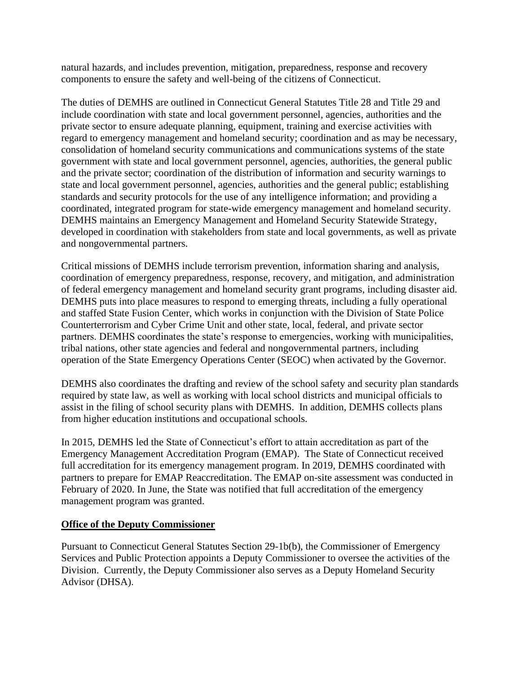natural hazards, and includes prevention, mitigation, preparedness, response and recovery components to ensure the safety and well-being of the citizens of Connecticut.

The duties of DEMHS are outlined in Connecticut General Statutes Title 28 and Title 29 and include coordination with state and local government personnel, agencies, authorities and the private sector to ensure adequate planning, equipment, training and exercise activities with regard to emergency management and homeland security; coordination and as may be necessary, consolidation of homeland security communications and communications systems of the state government with state and local government personnel, agencies, authorities, the general public and the private sector; coordination of the distribution of information and security warnings to state and local government personnel, agencies, authorities and the general public; establishing standards and security protocols for the use of any intelligence information; and providing a coordinated, integrated program for state-wide emergency management and homeland security. DEMHS maintains an Emergency Management and Homeland Security Statewide Strategy, developed in coordination with stakeholders from state and local governments, as well as private and nongovernmental partners.

Critical missions of DEMHS include terrorism prevention, information sharing and analysis, coordination of emergency preparedness, response, recovery, and mitigation, and administration of federal emergency management and homeland security grant programs, including disaster aid. DEMHS puts into place measures to respond to emerging threats, including a fully operational and staffed State Fusion Center, which works in conjunction with the Division of State Police Counterterrorism and Cyber Crime Unit and other state, local, federal, and private sector partners. DEMHS coordinates the state's response to emergencies, working with municipalities, tribal nations, other state agencies and federal and nongovernmental partners, including operation of the State Emergency Operations Center (SEOC) when activated by the Governor.

DEMHS also coordinates the drafting and review of the school safety and security plan standards required by state law, as well as working with local school districts and municipal officials to assist in the filing of school security plans with DEMHS. In addition, DEMHS collects plans from higher education institutions and occupational schools.

In 2015, DEMHS led the State of Connecticut's effort to attain accreditation as part of the Emergency Management Accreditation Program (EMAP). The State of Connecticut received full accreditation for its emergency management program. In 2019, DEMHS coordinated with partners to prepare for EMAP Reaccreditation. The EMAP on-site assessment was conducted in February of 2020. In June, the State was notified that full accreditation of the emergency management program was granted.

#### **Office of the Deputy Commissioner**

Pursuant to Connecticut General Statutes Section 29-1b(b), the Commissioner of Emergency Services and Public Protection appoints a Deputy Commissioner to oversee the activities of the Division. Currently, the Deputy Commissioner also serves as a Deputy Homeland Security Advisor (DHSA).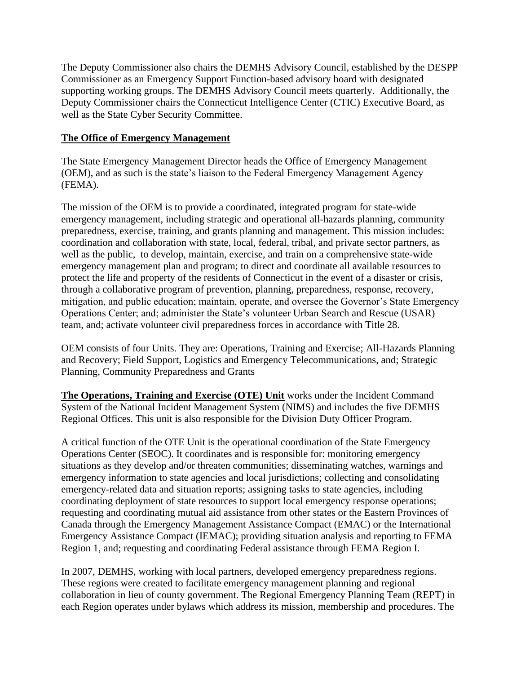The Deputy Commissioner also chairs the DEMHS Advisory Council, established by the DESPP Commissioner as an Emergency Support Function-based advisory board with designated supporting working groups. The DEMHS Advisory Council meets quarterly. Additionally, the Deputy Commissioner chairs the Connecticut Intelligence Center (CTIC) Executive Board, as well as the State Cyber Security Committee.

# **The Office of Emergency Management**

The State Emergency Management Director heads the Office of Emergency Management (OEM), and as such is the state's liaison to the Federal Emergency Management Agency (FEMA).

The mission of the OEM is to provide a coordinated, integrated program for state-wide emergency management, including strategic and operational all-hazards planning, community preparedness, exercise, training, and grants planning and management. This mission includes: coordination and collaboration with state, local, federal, tribal, and private sector partners, as well as the public, to develop, maintain, exercise, and train on a comprehensive state-wide emergency management plan and program; to direct and coordinate all available resources to protect the life and property of the residents of Connecticut in the event of a disaster or crisis, through a collaborative program of prevention, planning, preparedness, response, recovery, mitigation, and public education; maintain, operate, and oversee the Governor's State Emergency Operations Center; and; administer the State's volunteer Urban Search and Rescue (USAR) team, and; activate volunteer civil preparedness forces in accordance with Title 28.

OEM consists of four Units. They are: Operations, Training and Exercise; All-Hazards Planning and Recovery; Field Support, Logistics and Emergency Telecommunications, and; Strategic Planning, Community Preparedness and Grants

**The Operations, Training and Exercise (OTE) Unit** works under the Incident Command System of the National Incident Management System (NIMS) and includes the five DEMHS Regional Offices. This unit is also responsible for the Division Duty Officer Program.

A critical function of the OTE Unit is the operational coordination of the State Emergency Operations Center (SEOC). It coordinates and is responsible for: monitoring emergency situations as they develop and/or threaten communities; disseminating watches, warnings and emergency information to state agencies and local jurisdictions; collecting and consolidating emergency-related data and situation reports; assigning tasks to state agencies, including coordinating deployment of state resources to support local emergency response operations; requesting and coordinating mutual aid assistance from other states or the Eastern Provinces of Canada through the Emergency Management Assistance Compact (EMAC) or the International Emergency Assistance Compact (IEMAC); providing situation analysis and reporting to FEMA Region 1, and; requesting and coordinating Federal assistance through FEMA Region I.

In 2007, DEMHS, working with local partners, developed emergency preparedness regions. These regions were created to facilitate emergency management planning and regional collaboration in lieu of county government. The Regional Emergency Planning Team (REPT) in each Region operates under bylaws which address its mission, membership and procedures. The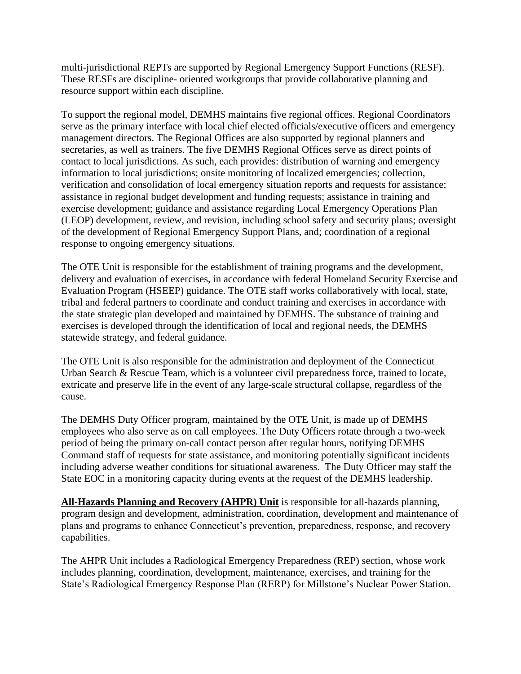multi-jurisdictional REPTs are supported by Regional Emergency Support Functions (RESF). These RESFs are discipline- oriented workgroups that provide collaborative planning and resource support within each discipline.

To support the regional model, DEMHS maintains five regional offices. Regional Coordinators serve as the primary interface with local chief elected officials/executive officers and emergency management directors. The Regional Offices are also supported by regional planners and secretaries, as well as trainers. The five DEMHS Regional Offices serve as direct points of contact to local jurisdictions. As such, each provides: distribution of warning and emergency information to local jurisdictions; onsite monitoring of localized emergencies; collection, verification and consolidation of local emergency situation reports and requests for assistance; assistance in regional budget development and funding requests; assistance in training and exercise development; guidance and assistance regarding Local Emergency Operations Plan (LEOP) development, review, and revision, including school safety and security plans; oversight of the development of Regional Emergency Support Plans, and; coordination of a regional response to ongoing emergency situations.

The OTE Unit is responsible for the establishment of training programs and the development, delivery and evaluation of exercises, in accordance with federal Homeland Security Exercise and Evaluation Program (HSEEP) guidance. The OTE staff works collaboratively with local, state, tribal and federal partners to coordinate and conduct training and exercises in accordance with the state strategic plan developed and maintained by DEMHS. The substance of training and exercises is developed through the identification of local and regional needs, the DEMHS statewide strategy, and federal guidance.

The OTE Unit is also responsible for the administration and deployment of the Connecticut Urban Search & Rescue Team, which is a volunteer civil preparedness force, trained to locate, extricate and preserve life in the event of any large-scale structural collapse, regardless of the cause.

The DEMHS Duty Officer program, maintained by the OTE Unit, is made up of DEMHS employees who also serve as on call employees. The Duty Officers rotate through a two-week period of being the primary on-call contact person after regular hours, notifying DEMHS Command staff of requests for state assistance, and monitoring potentially significant incidents including adverse weather conditions for situational awareness. The Duty Officer may staff the State EOC in a monitoring capacity during events at the request of the DEMHS leadership.

**All-Hazards Planning and Recovery (AHPR) Unit** is responsible for all-hazards planning, program design and development, administration, coordination, development and maintenance of plans and programs to enhance Connecticut's prevention, preparedness, response, and recovery capabilities.

The AHPR Unit includes a Radiological Emergency Preparedness (REP) section, whose work includes planning, coordination, development, maintenance, exercises, and training for the State's Radiological Emergency Response Plan (RERP) for Millstone's Nuclear Power Station.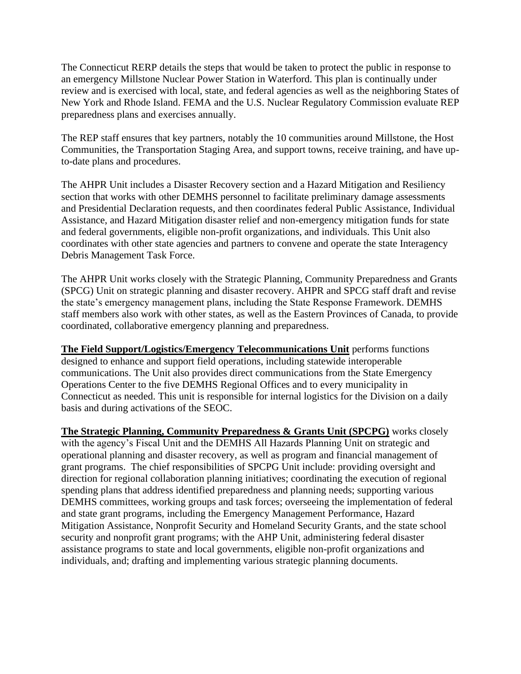The Connecticut RERP details the steps that would be taken to protect the public in response to an emergency Millstone Nuclear Power Station in Waterford. This plan is continually under review and is exercised with local, state, and federal agencies as well as the neighboring States of New York and Rhode Island. FEMA and the U.S. Nuclear Regulatory Commission evaluate REP preparedness plans and exercises annually.

The REP staff ensures that key partners, notably the 10 communities around Millstone, the Host Communities, the Transportation Staging Area, and support towns, receive training, and have upto-date plans and procedures.

The AHPR Unit includes a Disaster Recovery section and a Hazard Mitigation and Resiliency section that works with other DEMHS personnel to facilitate preliminary damage assessments and Presidential Declaration requests, and then coordinates federal Public Assistance, Individual Assistance, and Hazard Mitigation disaster relief and non-emergency mitigation funds for state and federal governments, eligible non-profit organizations, and individuals. This Unit also coordinates with other state agencies and partners to convene and operate the state Interagency Debris Management Task Force.

The AHPR Unit works closely with the Strategic Planning, Community Preparedness and Grants (SPCG) Unit on strategic planning and disaster recovery. AHPR and SPCG staff draft and revise the state's emergency management plans, including the State Response Framework. DEMHS staff members also work with other states, as well as the Eastern Provinces of Canada, to provide coordinated, collaborative emergency planning and preparedness.

**The Field Support/Logistics/Emergency Telecommunications Unit** performs functions designed to enhance and support field operations, including statewide interoperable communications. The Unit also provides direct communications from the State Emergency Operations Center to the five DEMHS Regional Offices and to every municipality in Connecticut as needed. This unit is responsible for internal logistics for the Division on a daily basis and during activations of the SEOC.

**The Strategic Planning, Community Preparedness & Grants Unit (SPCPG)** works closely with the agency's Fiscal Unit and the DEMHS All Hazards Planning Unit on strategic and operational planning and disaster recovery, as well as program and financial management of grant programs. The chief responsibilities of SPCPG Unit include: providing oversight and direction for regional collaboration planning initiatives; coordinating the execution of regional spending plans that address identified preparedness and planning needs; supporting various DEMHS committees, working groups and task forces; overseeing the implementation of federal and state grant programs, including the Emergency Management Performance, Hazard Mitigation Assistance, Nonprofit Security and Homeland Security Grants, and the state school security and nonprofit grant programs; with the AHP Unit, administering federal disaster assistance programs to state and local governments, eligible non-profit organizations and individuals, and; drafting and implementing various strategic planning documents.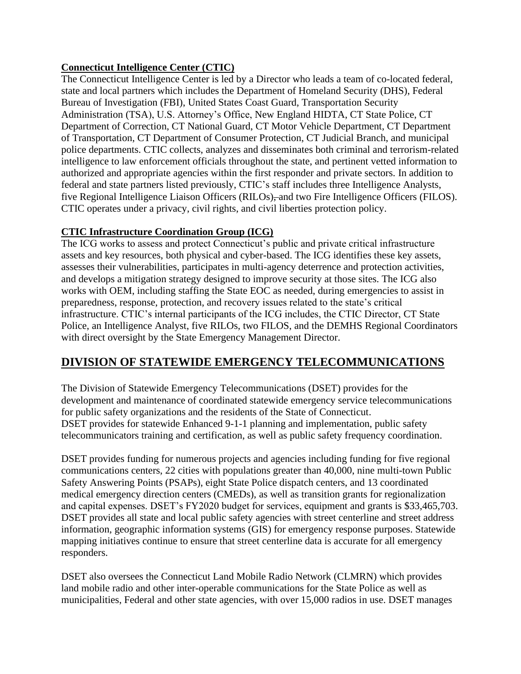# **Connecticut Intelligence Center (CTIC)**

The Connecticut Intelligence Center is led by a Director who leads a team of co-located federal, state and local partners which includes the Department of Homeland Security (DHS), Federal Bureau of Investigation (FBI), United States Coast Guard, Transportation Security Administration (TSA), U.S. Attorney's Office, New England HIDTA, CT State Police, CT Department of Correction, CT National Guard, CT Motor Vehicle Department, CT Department of Transportation, CT Department of Consumer Protection, CT Judicial Branch, and municipal police departments. CTIC collects, analyzes and disseminates both criminal and terrorism-related intelligence to law enforcement officials throughout the state, and pertinent vetted information to authorized and appropriate agencies within the first responder and private sectors. In addition to federal and state partners listed previously, CTIC's staff includes three Intelligence Analysts, five Regional Intelligence Liaison Officers (RILOs), and two Fire Intelligence Officers (FILOS). CTIC operates under a privacy, civil rights, and civil liberties protection policy.

# **CTIC Infrastructure Coordination Group (ICG)**

The ICG works to assess and protect Connecticut's public and private critical infrastructure assets and key resources, both physical and cyber-based. The ICG identifies these key assets, assesses their vulnerabilities, participates in multi-agency deterrence and protection activities, and develops a mitigation strategy designed to improve security at those sites. The ICG also works with OEM, including staffing the State EOC as needed, during emergencies to assist in preparedness, response, protection, and recovery issues related to the state's critical infrastructure. CTIC's internal participants of the ICG includes, the CTIC Director, CT State Police, an Intelligence Analyst, five RILOs, two FILOS, and the DEMHS Regional Coordinators with direct oversight by the State Emergency Management Director.

# **DIVISION OF STATEWIDE EMERGENCY TELECOMMUNICATIONS**

The Division of Statewide Emergency Telecommunications (DSET) provides for the development and maintenance of coordinated statewide emergency service telecommunications for public safety organizations and the residents of the State of Connecticut. DSET provides for statewide Enhanced 9-1-1 planning and implementation, public safety telecommunicators training and certification, as well as public safety frequency coordination.

DSET provides funding for numerous projects and agencies including funding for five regional communications centers, 22 cities with populations greater than 40,000, nine multi-town Public Safety Answering Points (PSAPs), eight State Police dispatch centers, and 13 coordinated medical emergency direction centers (CMEDs), as well as transition grants for regionalization and capital expenses. DSET's FY2020 budget for services, equipment and grants is \$33,465,703. DSET provides all state and local public safety agencies with street centerline and street address information, geographic information systems (GIS) for emergency response purposes. Statewide mapping initiatives continue to ensure that street centerline data is accurate for all emergency responders.

DSET also oversees the Connecticut Land Mobile Radio Network (CLMRN) which provides land mobile radio and other inter-operable communications for the State Police as well as municipalities, Federal and other state agencies, with over 15,000 radios in use. DSET manages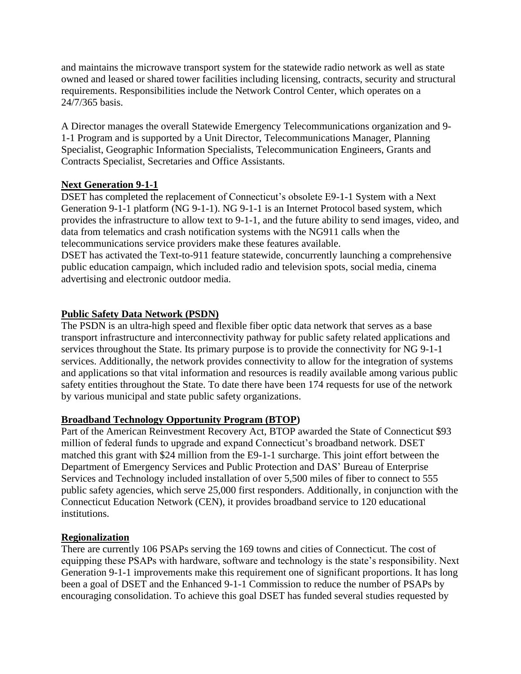and maintains the microwave transport system for the statewide radio network as well as state owned and leased or shared tower facilities including licensing, contracts, security and structural requirements. Responsibilities include the Network Control Center, which operates on a 24/7/365 basis.

A Director manages the overall Statewide Emergency Telecommunications organization and 9- 1-1 Program and is supported by a Unit Director, Telecommunications Manager, Planning Specialist, Geographic Information Specialists, Telecommunication Engineers, Grants and Contracts Specialist, Secretaries and Office Assistants.

# **Next Generation 9-1-1**

DSET has completed the replacement of Connecticut's obsolete E9-1-1 System with a Next Generation 9-1-1 platform (NG 9-1-1). NG 9-1-1 is an Internet Protocol based system, which provides the infrastructure to allow text to 9-1-1, and the future ability to send images, video, and data from telematics and crash notification systems with the NG911 calls when the telecommunications service providers make these features available.

DSET has activated the Text-to-911 feature statewide, concurrently launching a comprehensive public education campaign, which included radio and television spots, social media, cinema advertising and electronic outdoor media.

# **Public Safety Data Network (PSDN)**

The PSDN is an ultra-high speed and flexible fiber optic data network that serves as a base transport infrastructure and interconnectivity pathway for public safety related applications and services throughout the State. Its primary purpose is to provide the connectivity for NG 9-1-1 services. Additionally, the network provides connectivity to allow for the integration of systems and applications so that vital information and resources is readily available among various public safety entities throughout the State. To date there have been 174 requests for use of the network by various municipal and state public safety organizations.

# **Broadband Technology Opportunity Program (BTOP)**

Part of the American Reinvestment Recovery Act, BTOP awarded the State of Connecticut \$93 million of federal funds to upgrade and expand Connecticut's broadband network. DSET matched this grant with \$24 million from the E9-1-1 surcharge. This joint effort between the Department of Emergency Services and Public Protection and DAS' Bureau of Enterprise Services and Technology included installation of over 5,500 miles of fiber to connect to 555 public safety agencies, which serve 25,000 first responders. Additionally, in conjunction with the Connecticut Education Network (CEN), it provides broadband service to 120 educational institutions.

# **Regionalization**

There are currently 106 PSAPs serving the 169 towns and cities of Connecticut. The cost of equipping these PSAPs with hardware, software and technology is the state's responsibility. Next Generation 9-1-1 improvements make this requirement one of significant proportions. It has long been a goal of DSET and the Enhanced 9-1-1 Commission to reduce the number of PSAPs by encouraging consolidation. To achieve this goal DSET has funded several studies requested by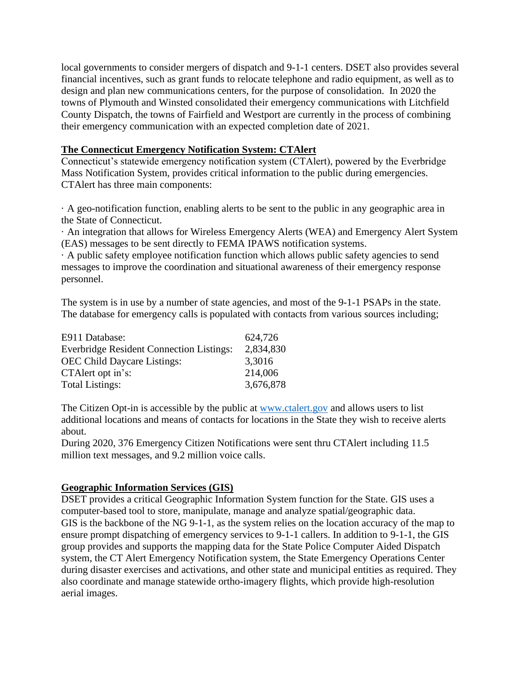local governments to consider mergers of dispatch and 9-1-1 centers. DSET also provides several financial incentives, such as grant funds to relocate telephone and radio equipment, as well as to design and plan new communications centers, for the purpose of consolidation. In 2020 the towns of Plymouth and Winsted consolidated their emergency communications with Litchfield County Dispatch, the towns of Fairfield and Westport are currently in the process of combining their emergency communication with an expected completion date of 2021.

### **The Connecticut Emergency Notification System: CTAlert**

Connecticut's statewide emergency notification system (CTAlert), powered by the Everbridge Mass Notification System, provides critical information to the public during emergencies. CTAlert has three main components:

· A geo-notification function, enabling alerts to be sent to the public in any geographic area in the State of Connecticut.

· An integration that allows for Wireless Emergency Alerts (WEA) and Emergency Alert System (EAS) messages to be sent directly to FEMA IPAWS notification systems.

· A public safety employee notification function which allows public safety agencies to send messages to improve the coordination and situational awareness of their emergency response personnel.

The system is in use by a number of state agencies, and most of the 9-1-1 PSAPs in the state. The database for emergency calls is populated with contacts from various sources including;

| E911 Database:                                  | 624,726   |
|-------------------------------------------------|-----------|
| <b>Everbridge Resident Connection Listings:</b> | 2,834,830 |
| <b>OEC</b> Child Daycare Listings:              | 3,3016    |
| CTA lert opt in's:                              | 214,006   |
| <b>Total Listings:</b>                          | 3,676,878 |

The Citizen Opt-in is accessible by the public at [www.ctalert.gov](http://www.ctalert.gov/) and allows users to list additional locations and means of contacts for locations in the State they wish to receive alerts about.

During 2020, 376 Emergency Citizen Notifications were sent thru CTAlert including 11.5 million text messages, and 9.2 million voice calls.

# **Geographic Information Services (GIS)**

DSET provides a critical Geographic Information System function for the State. GIS uses a computer-based tool to store, manipulate, manage and analyze spatial/geographic data. GIS is the backbone of the NG 9-1-1, as the system relies on the location accuracy of the map to ensure prompt dispatching of emergency services to 9-1-1 callers. In addition to 9-1-1, the GIS group provides and supports the mapping data for the State Police Computer Aided Dispatch system, the CT Alert Emergency Notification system, the State Emergency Operations Center during disaster exercises and activations, and other state and municipal entities as required. They also coordinate and manage statewide ortho-imagery flights, which provide high-resolution aerial images.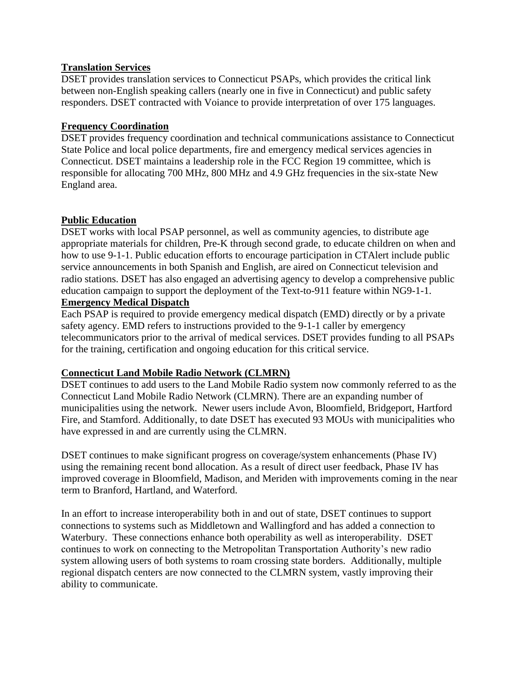#### **Translation Services**

DSET provides translation services to Connecticut PSAPs, which provides the critical link between non-English speaking callers (nearly one in five in Connecticut) and public safety responders. DSET contracted with Voiance to provide interpretation of over 175 languages.

#### **Frequency Coordination**

DSET provides frequency coordination and technical communications assistance to Connecticut State Police and local police departments, fire and emergency medical services agencies in Connecticut. DSET maintains a leadership role in the FCC Region 19 committee, which is responsible for allocating 700 MHz, 800 MHz and 4.9 GHz frequencies in the six-state New England area.

#### **Public Education**

DSET works with local PSAP personnel, as well as community agencies, to distribute age appropriate materials for children, Pre-K through second grade, to educate children on when and how to use 9-1-1. Public education efforts to encourage participation in CTAlert include public service announcements in both Spanish and English, are aired on Connecticut television and radio stations. DSET has also engaged an advertising agency to develop a comprehensive public education campaign to support the deployment of the Text-to-911 feature within NG9-1-1.

#### **Emergency Medical Dispatch**

Each PSAP is required to provide emergency medical dispatch (EMD) directly or by a private safety agency. EMD refers to instructions provided to the 9-1-1 caller by emergency telecommunicators prior to the arrival of medical services. DSET provides funding to all PSAPs for the training, certification and ongoing education for this critical service.

#### **Connecticut Land Mobile Radio Network (CLMRN)**

DSET continues to add users to the Land Mobile Radio system now commonly referred to as the Connecticut Land Mobile Radio Network (CLMRN). There are an expanding number of municipalities using the network. Newer users include Avon, Bloomfield, Bridgeport, Hartford Fire, and Stamford. Additionally, to date DSET has executed 93 MOUs with municipalities who have expressed in and are currently using the CLMRN.

DSET continues to make significant progress on coverage/system enhancements (Phase IV) using the remaining recent bond allocation. As a result of direct user feedback, Phase IV has improved coverage in Bloomfield, Madison, and Meriden with improvements coming in the near term to Branford, Hartland, and Waterford.

In an effort to increase interoperability both in and out of state, DSET continues to support connections to systems such as Middletown and Wallingford and has added a connection to Waterbury. These connections enhance both operability as well as interoperability. DSET continues to work on connecting to the Metropolitan Transportation Authority's new radio system allowing users of both systems to roam crossing state borders. Additionally, multiple regional dispatch centers are now connected to the CLMRN system, vastly improving their ability to communicate.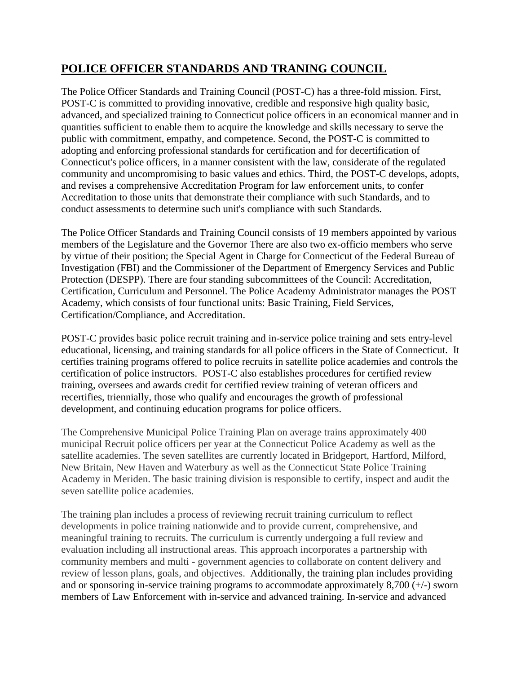# **POLICE OFFICER STANDARDS AND TRANING COUNCIL**

The Police Officer Standards and Training Council (POST-C) has a three-fold mission. First, POST-C is committed to providing innovative, credible and responsive high quality basic, advanced, and specialized training to Connecticut police officers in an economical manner and in quantities sufficient to enable them to acquire the knowledge and skills necessary to serve the public with commitment, empathy, and competence. Second, the POST-C is committed to adopting and enforcing professional standards for certification and for decertification of Connecticut's police officers, in a manner consistent with the law, considerate of the regulated community and uncompromising to basic values and ethics. Third, the POST-C develops, adopts, and revises a comprehensive Accreditation Program for law enforcement units, to confer Accreditation to those units that demonstrate their compliance with such Standards, and to conduct assessments to determine such unit's compliance with such Standards.

The Police Officer Standards and Training Council consists of 19 members appointed by various members of the Legislature and the Governor There are also two ex-officio members who serve by virtue of their position; the Special Agent in Charge for Connecticut of the Federal Bureau of Investigation (FBI) and the Commissioner of the Department of Emergency Services and Public Protection (DESPP). There are four standing subcommittees of the Council: Accreditation, Certification, Curriculum and Personnel. The Police Academy Administrator manages the POST Academy, which consists of four functional units: Basic Training, Field Services, Certification/Compliance, and Accreditation.

POST-C provides basic police recruit training and in-service police training and sets entry-level educational, licensing, and training standards for all police officers in the State of Connecticut. It certifies training programs offered to police recruits in satellite police academies and controls the certification of police instructors. POST-C also establishes procedures for certified review training, oversees and awards credit for certified review training of veteran officers and recertifies, triennially, those who qualify and encourages the growth of professional development, and continuing education programs for police officers.

The Comprehensive Municipal Police Training Plan on average trains approximately 400 municipal Recruit police officers per year at the Connecticut Police Academy as well as the satellite academies. The seven satellites are currently located in Bridgeport, Hartford, Milford, New Britain, New Haven and Waterbury as well as the Connecticut State Police Training Academy in Meriden. The basic training division is responsible to certify, inspect and audit the seven satellite police academies.

The training plan includes a process of reviewing recruit training curriculum to reflect developments in police training nationwide and to provide current, comprehensive, and meaningful training to recruits. The curriculum is currently undergoing a full review and evaluation including all instructional areas. This approach incorporates a partnership with community members and multi - government agencies to collaborate on content delivery and review of lesson plans, goals, and objectives. Additionally, the training plan includes providing and or sponsoring in-service training programs to accommodate approximately 8,700 (+/-) sworn members of Law Enforcement with in-service and advanced training. In-service and advanced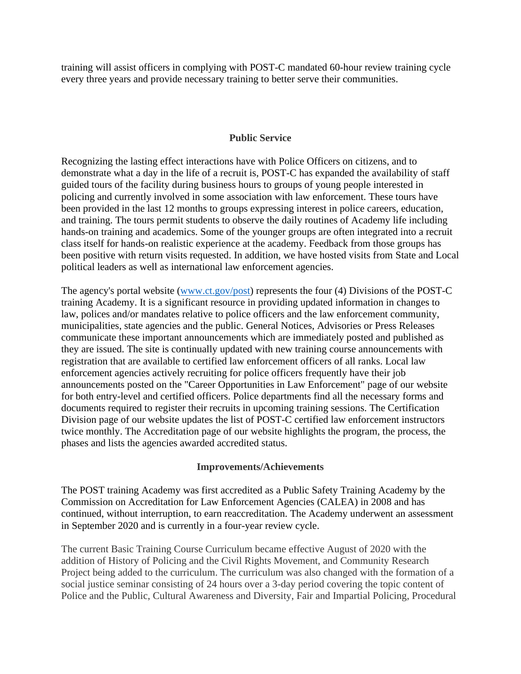training will assist officers in complying with POST-C mandated 60-hour review training cycle every three years and provide necessary training to better serve their communities.

#### **Public Service**

Recognizing the lasting effect interactions have with Police Officers on citizens, and to demonstrate what a day in the life of a recruit is, POST-C has expanded the availability of staff guided tours of the facility during business hours to groups of young people interested in policing and currently involved in some association with law enforcement. These tours have been provided in the last 12 months to groups expressing interest in police careers, education, and training. The tours permit students to observe the daily routines of Academy life including hands-on training and academics. Some of the younger groups are often integrated into a recruit class itself for hands-on realistic experience at the academy. Feedback from those groups has been positive with return visits requested. In addition, we have hosted visits from State and Local political leaders as well as international law enforcement agencies.

The agency's portal website [\(www.ct.gov/post\)](http://www.ct.gov/post) represents the four (4) Divisions of the POST-C training Academy. It is a significant resource in providing updated information in changes to law, polices and/or mandates relative to police officers and the law enforcement community, municipalities, state agencies and the public. General Notices, Advisories or Press Releases communicate these important announcements which are immediately posted and published as they are issued. The site is continually updated with new training course announcements with registration that are available to certified law enforcement officers of all ranks. Local law enforcement agencies actively recruiting for police officers frequently have their job announcements posted on the "Career Opportunities in Law Enforcement" page of our website for both entry-level and certified officers. Police departments find all the necessary forms and documents required to register their recruits in upcoming training sessions. The Certification Division page of our website updates the list of POST-C certified law enforcement instructors twice monthly. The Accreditation page of our website highlights the program, the process, the phases and lists the agencies awarded accredited status.

#### **Improvements/Achievements**

The POST training Academy was first accredited as a Public Safety Training Academy by the Commission on Accreditation for Law Enforcement Agencies (CALEA) in 2008 and has continued, without interruption, to earn reaccreditation. The Academy underwent an assessment in September 2020 and is currently in a four-year review cycle.

The current Basic Training Course Curriculum became effective August of 2020 with the addition of History of Policing and the Civil Rights Movement, and Community Research Project being added to the curriculum. The curriculum was also changed with the formation of a social justice seminar consisting of 24 hours over a 3-day period covering the topic content of Police and the Public, Cultural Awareness and Diversity, Fair and Impartial Policing, Procedural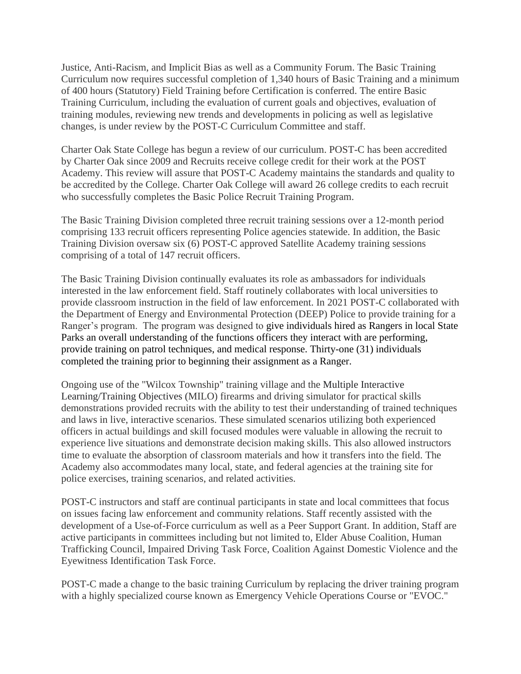Justice, Anti-Racism, and Implicit Bias as well as a Community Forum. The Basic Training Curriculum now requires successful completion of 1,340 hours of Basic Training and a minimum of 400 hours (Statutory) Field Training before Certification is conferred. The entire Basic Training Curriculum, including the evaluation of current goals and objectives, evaluation of training modules, reviewing new trends and developments in policing as well as legislative changes, is under review by the POST-C Curriculum Committee and staff.

Charter Oak State College has begun a review of our curriculum. POST-C has been accredited by Charter Oak since 2009 and Recruits receive college credit for their work at the POST Academy. This review will assure that POST-C Academy maintains the standards and quality to be accredited by the College. Charter Oak College will award 26 college credits to each recruit who successfully completes the Basic Police Recruit Training Program.

The Basic Training Division completed three recruit training sessions over a 12-month period comprising 133 recruit officers representing Police agencies statewide. In addition, the Basic Training Division oversaw six (6) POST-C approved Satellite Academy training sessions comprising of a total of 147 recruit officers.

The Basic Training Division continually evaluates its role as ambassadors for individuals interested in the law enforcement field. Staff routinely collaborates with local universities to provide classroom instruction in the field of law enforcement. In 2021 POST-C collaborated with the Department of Energy and Environmental Protection (DEEP) Police to provide training for a Ranger's program. The program was designed to give individuals hired as Rangers in local State Parks an overall understanding of the functions officers they interact with are performing, provide training on patrol techniques, and medical response. Thirty-one (31) individuals completed the training prior to beginning their assignment as a Ranger.

Ongoing use of the "Wilcox Township" training village and the Multiple Interactive Learning/Training Objectives (MILO) firearms and driving simulator for practical skills demonstrations provided recruits with the ability to test their understanding of trained techniques and laws in live, interactive scenarios. These simulated scenarios utilizing both experienced officers in actual buildings and skill focused modules were valuable in allowing the recruit to experience live situations and demonstrate decision making skills. This also allowed instructors time to evaluate the absorption of classroom materials and how it transfers into the field. The Academy also accommodates many local, state, and federal agencies at the training site for police exercises, training scenarios, and related activities.

POST-C instructors and staff are continual participants in state and local committees that focus on issues facing law enforcement and community relations. Staff recently assisted with the development of a Use-of-Force curriculum as well as a Peer Support Grant. In addition, Staff are active participants in committees including but not limited to, Elder Abuse Coalition, Human Trafficking Council, Impaired Driving Task Force, Coalition Against Domestic Violence and the Eyewitness Identification Task Force.

POST-C made a change to the basic training Curriculum by replacing the driver training program with a highly specialized course known as Emergency Vehicle Operations Course or "EVOC."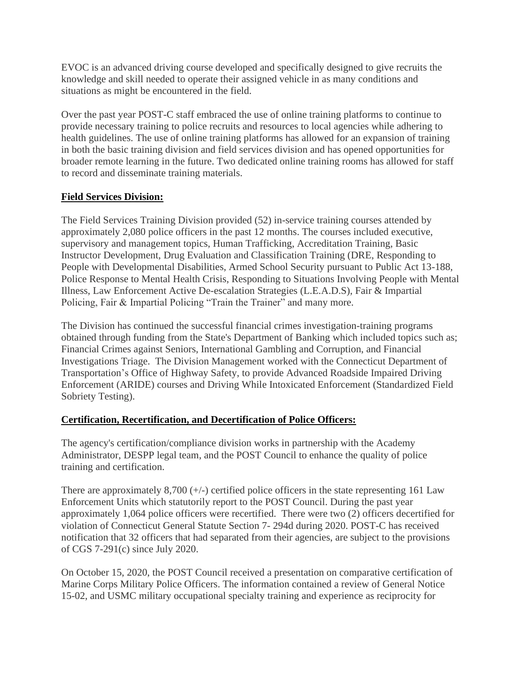EVOC is an advanced driving course developed and specifically designed to give recruits the knowledge and skill needed to operate their assigned vehicle in as many conditions and situations as might be encountered in the field.

Over the past year POST-C staff embraced the use of online training platforms to continue to provide necessary training to police recruits and resources to local agencies while adhering to health guidelines. The use of online training platforms has allowed for an expansion of training in both the basic training division and field services division and has opened opportunities for broader remote learning in the future. Two dedicated online training rooms has allowed for staff to record and disseminate training materials.

# **Field Services Division:**

The Field Services Training Division provided (52) in-service training courses attended by approximately 2,080 police officers in the past 12 months. The courses included executive, supervisory and management topics, Human Trafficking, Accreditation Training, Basic Instructor Development, Drug Evaluation and Classification Training (DRE, Responding to People with Developmental Disabilities, Armed School Security pursuant to Public Act 13-188, Police Response to Mental Health Crisis, Responding to Situations Involving People with Mental Illness, Law Enforcement Active De-escalation Strategies (L.E.A.D.S), Fair & Impartial Policing, Fair & Impartial Policing "Train the Trainer" and many more.

The Division has continued the successful financial crimes investigation-training programs obtained through funding from the State's Department of Banking which included topics such as; Financial Crimes against Seniors, International Gambling and Corruption, and Financial Investigations Triage. The Division Management worked with the Connecticut Department of Transportation's Office of Highway Safety, to provide Advanced Roadside Impaired Driving Enforcement (ARIDE) courses and Driving While Intoxicated Enforcement (Standardized Field Sobriety Testing).

# **Certification, Recertification, and Decertification of Police Officers:**

The agency's certification/compliance division works in partnership with the Academy Administrator, DESPP legal team, and the POST Council to enhance the quality of police training and certification.

There are approximately  $8,700$  ( $+\/-$ ) certified police officers in the state representing 161 Law Enforcement Units which statutorily report to the POST Council. During the past year approximately 1,064 police officers were recertified. There were two (2) officers decertified for violation of Connecticut General Statute Section 7- 294d during 2020. POST-C has received notification that 32 officers that had separated from their agencies, are subject to the provisions of CGS 7-291(c) since July 2020.

On October 15, 2020, the POST Council received a presentation on comparative certification of Marine Corps Military Police Officers. The information contained a review of General Notice 15-02, and USMC military occupational specialty training and experience as reciprocity for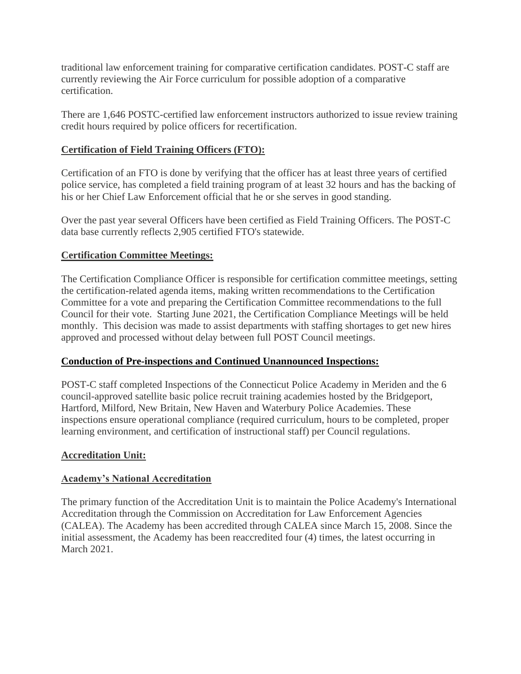traditional law enforcement training for comparative certification candidates. POST-C staff are currently reviewing the Air Force curriculum for possible adoption of a comparative certification.

There are 1,646 POSTC-certified law enforcement instructors authorized to issue review training credit hours required by police officers for recertification.

# **Certification of Field Training Officers (FTO):**

Certification of an FTO is done by verifying that the officer has at least three years of certified police service, has completed a field training program of at least 32 hours and has the backing of his or her Chief Law Enforcement official that he or she serves in good standing.

Over the past year several Officers have been certified as Field Training Officers. The POST-C data base currently reflects 2,905 certified FTO's statewide.

# **Certification Committee Meetings:**

The Certification Compliance Officer is responsible for certification committee meetings, setting the certification-related agenda items, making written recommendations to the Certification Committee for a vote and preparing the Certification Committee recommendations to the full Council for their vote. Starting June 2021, the Certification Compliance Meetings will be held monthly. This decision was made to assist departments with staffing shortages to get new hires approved and processed without delay between full POST Council meetings.

# **Conduction of Pre-inspections and Continued Unannounced Inspections:**

POST-C staff completed Inspections of the Connecticut Police Academy in Meriden and the 6 council-approved satellite basic police recruit training academies hosted by the Bridgeport, Hartford, Milford, New Britain, New Haven and Waterbury Police Academies. These inspections ensure operational compliance (required curriculum, hours to be completed, proper learning environment, and certification of instructional staff) per Council regulations.

# **Accreditation Unit:**

# **Academy's National Accreditation**

The primary function of the Accreditation Unit is to maintain the Police Academy's International Accreditation through the Commission on Accreditation for Law Enforcement Agencies (CALEA). The Academy has been accredited through CALEA since March 15, 2008. Since the initial assessment, the Academy has been reaccredited four (4) times, the latest occurring in March 2021.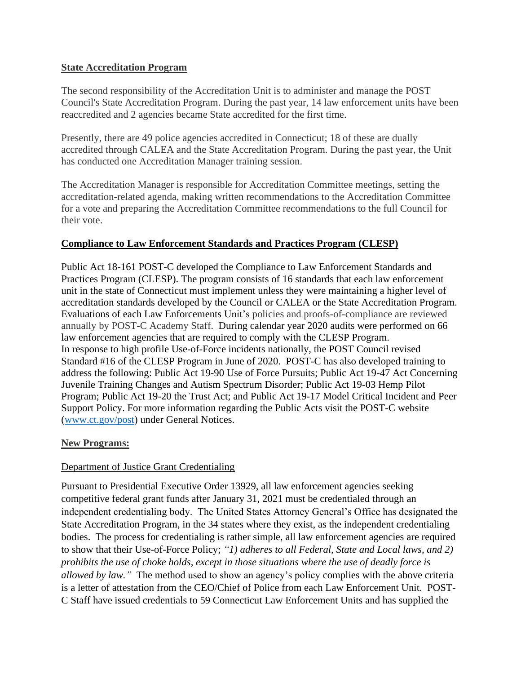#### **State Accreditation Program**

The second responsibility of the Accreditation Unit is to administer and manage the POST Council's State Accreditation Program. During the past year, 14 law enforcement units have been reaccredited and 2 agencies became State accredited for the first time.

Presently, there are 49 police agencies accredited in Connecticut; 18 of these are dually accredited through CALEA and the State Accreditation Program. During the past year, the Unit has conducted one Accreditation Manager training session.

The Accreditation Manager is responsible for Accreditation Committee meetings, setting the accreditation-related agenda, making written recommendations to the Accreditation Committee for a vote and preparing the Accreditation Committee recommendations to the full Council for their vote.

# **Compliance to Law Enforcement Standards and Practices Program (CLESP)**

Public Act 18-161 POST-C developed the Compliance to Law Enforcement Standards and Practices Program (CLESP). The program consists of 16 standards that each law enforcement unit in the state of Connecticut must implement unless they were maintaining a higher level of accreditation standards developed by the Council or CALEA or the State Accreditation Program. Evaluations of each Law Enforcements Unit's policies and proofs-of-compliance are reviewed annually by POST-C Academy Staff. During calendar year 2020 audits were performed on 66 law enforcement agencies that are required to comply with the CLESP Program. In response to high profile Use-of-Force incidents nationally, the POST Council revised Standard #16 of the CLESP Program in June of 2020. POST-C has also developed training to address the following: Public Act 19-90 Use of Force Pursuits; Public Act 19-47 Act Concerning Juvenile Training Changes and Autism Spectrum Disorder; Public Act 19-03 Hemp Pilot Program; Public Act 19-20 the Trust Act; and Public Act 19-17 Model Critical Incident and Peer Support Policy. For more information regarding the Public Acts visit the POST-C website [\(www.ct.gov/post\)](http://www.ct.gov/post) under General Notices.

# **New Programs:**

# Department of Justice Grant Credentialing

Pursuant to Presidential Executive Order 13929, all law enforcement agencies seeking competitive federal grant funds after January 31, 2021 must be credentialed through an independent credentialing body. The United States Attorney General's Office has designated the State Accreditation Program, in the 34 states where they exist, as the independent credentialing bodies. The process for credentialing is rather simple, all law enforcement agencies are required to show that their Use-of-Force Policy; *"1) adheres to all Federal, State and Local laws, and 2) prohibits the use of choke holds, except in those situations where the use of deadly force is allowed by law."* The method used to show an agency's policy complies with the above criteria is a letter of attestation from the CEO/Chief of Police from each Law Enforcement Unit. POST-C Staff have issued credentials to 59 Connecticut Law Enforcement Units and has supplied the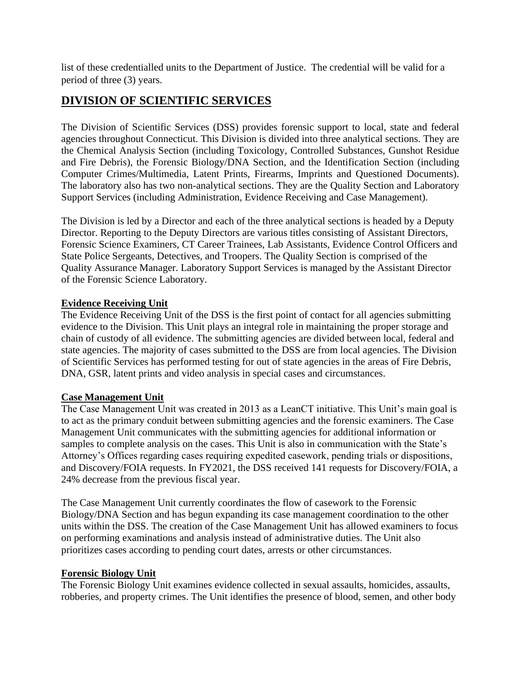list of these credentialled units to the Department of Justice. The credential will be valid for a period of three (3) years.

# **DIVISION OF SCIENTIFIC SERVICES**

The Division of Scientific Services (DSS) provides forensic support to local, state and federal agencies throughout Connecticut. This Division is divided into three analytical sections. They are the Chemical Analysis Section (including Toxicology, Controlled Substances, Gunshot Residue and Fire Debris), the Forensic Biology/DNA Section, and the Identification Section (including Computer Crimes/Multimedia, Latent Prints, Firearms, Imprints and Questioned Documents). The laboratory also has two non-analytical sections. They are the Quality Section and Laboratory Support Services (including Administration, Evidence Receiving and Case Management).

The Division is led by a Director and each of the three analytical sections is headed by a Deputy Director. Reporting to the Deputy Directors are various titles consisting of Assistant Directors, Forensic Science Examiners, CT Career Trainees, Lab Assistants, Evidence Control Officers and State Police Sergeants, Detectives, and Troopers. The Quality Section is comprised of the Quality Assurance Manager. Laboratory Support Services is managed by the Assistant Director of the Forensic Science Laboratory.

# **Evidence Receiving Unit**

The Evidence Receiving Unit of the DSS is the first point of contact for all agencies submitting evidence to the Division. This Unit plays an integral role in maintaining the proper storage and chain of custody of all evidence. The submitting agencies are divided between local, federal and state agencies. The majority of cases submitted to the DSS are from local agencies. The Division of Scientific Services has performed testing for out of state agencies in the areas of Fire Debris, DNA, GSR, latent prints and video analysis in special cases and circumstances.

# **Case Management Unit**

The Case Management Unit was created in 2013 as a LeanCT initiative. This Unit's main goal is to act as the primary conduit between submitting agencies and the forensic examiners. The Case Management Unit communicates with the submitting agencies for additional information or samples to complete analysis on the cases. This Unit is also in communication with the State's Attorney's Offices regarding cases requiring expedited casework, pending trials or dispositions, and Discovery/FOIA requests. In FY2021, the DSS received 141 requests for Discovery/FOIA, a 24% decrease from the previous fiscal year.

The Case Management Unit currently coordinates the flow of casework to the Forensic Biology/DNA Section and has begun expanding its case management coordination to the other units within the DSS. The creation of the Case Management Unit has allowed examiners to focus on performing examinations and analysis instead of administrative duties. The Unit also prioritizes cases according to pending court dates, arrests or other circumstances.

# **Forensic Biology Unit**

The Forensic Biology Unit examines evidence collected in sexual assaults, homicides, assaults, robberies, and property crimes. The Unit identifies the presence of blood, semen, and other body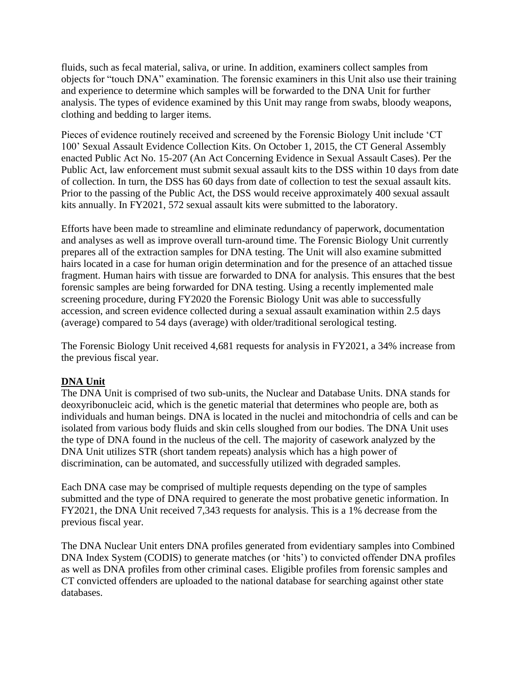fluids, such as fecal material, saliva, or urine. In addition, examiners collect samples from objects for "touch DNA" examination. The forensic examiners in this Unit also use their training and experience to determine which samples will be forwarded to the DNA Unit for further analysis. The types of evidence examined by this Unit may range from swabs, bloody weapons, clothing and bedding to larger items.

Pieces of evidence routinely received and screened by the Forensic Biology Unit include 'CT 100' Sexual Assault Evidence Collection Kits. On October 1, 2015, the CT General Assembly enacted Public Act No. 15-207 (An Act Concerning Evidence in Sexual Assault Cases). Per the Public Act, law enforcement must submit sexual assault kits to the DSS within 10 days from date of collection. In turn, the DSS has 60 days from date of collection to test the sexual assault kits. Prior to the passing of the Public Act, the DSS would receive approximately 400 sexual assault kits annually. In FY2021, 572 sexual assault kits were submitted to the laboratory.

Efforts have been made to streamline and eliminate redundancy of paperwork, documentation and analyses as well as improve overall turn-around time. The Forensic Biology Unit currently prepares all of the extraction samples for DNA testing. The Unit will also examine submitted hairs located in a case for human origin determination and for the presence of an attached tissue fragment. Human hairs with tissue are forwarded to DNA for analysis. This ensures that the best forensic samples are being forwarded for DNA testing. Using a recently implemented male screening procedure, during FY2020 the Forensic Biology Unit was able to successfully accession, and screen evidence collected during a sexual assault examination within 2.5 days (average) compared to 54 days (average) with older/traditional serological testing.

The Forensic Biology Unit received 4,681 requests for analysis in FY2021, a 34% increase from the previous fiscal year.

# **DNA Unit**

The DNA Unit is comprised of two sub-units, the Nuclear and Database Units. DNA stands for deoxyribonucleic acid, which is the genetic material that determines who people are, both as individuals and human beings. DNA is located in the nuclei and mitochondria of cells and can be isolated from various body fluids and skin cells sloughed from our bodies. The DNA Unit uses the type of DNA found in the nucleus of the cell. The majority of casework analyzed by the DNA Unit utilizes STR (short tandem repeats) analysis which has a high power of discrimination, can be automated, and successfully utilized with degraded samples.

Each DNA case may be comprised of multiple requests depending on the type of samples submitted and the type of DNA required to generate the most probative genetic information. In FY2021, the DNA Unit received 7,343 requests for analysis. This is a 1% decrease from the previous fiscal year.

The DNA Nuclear Unit enters DNA profiles generated from evidentiary samples into Combined DNA Index System (CODIS) to generate matches (or 'hits') to convicted offender DNA profiles as well as DNA profiles from other criminal cases. Eligible profiles from forensic samples and CT convicted offenders are uploaded to the national database for searching against other state databases.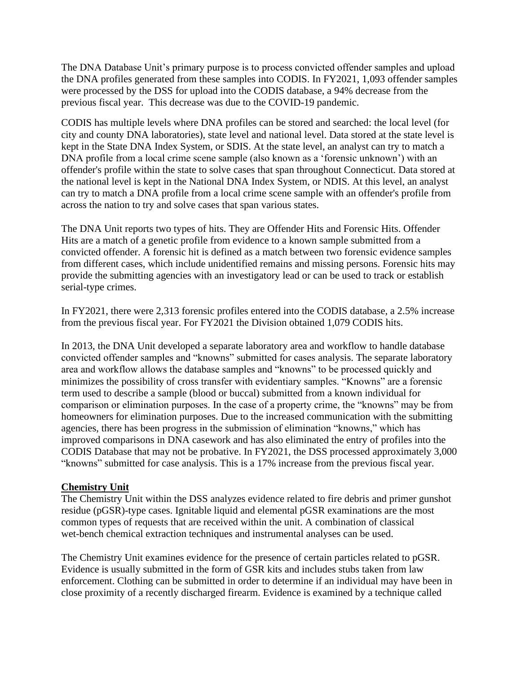The DNA Database Unit's primary purpose is to process convicted offender samples and upload the DNA profiles generated from these samples into CODIS. In FY2021, 1,093 offender samples were processed by the DSS for upload into the CODIS database, a 94% decrease from the previous fiscal year. This decrease was due to the COVID-19 pandemic.

CODIS has multiple levels where DNA profiles can be stored and searched: the local level (for city and county DNA laboratories), state level and national level. Data stored at the state level is kept in the State DNA Index System, or SDIS. At the state level, an analyst can try to match a DNA profile from a local crime scene sample (also known as a 'forensic unknown') with an offender's profile within the state to solve cases that span throughout Connecticut. Data stored at the national level is kept in the National DNA Index System, or NDIS. At this level, an analyst can try to match a DNA profile from a local crime scene sample with an offender's profile from across the nation to try and solve cases that span various states.

The DNA Unit reports two types of hits. They are Offender Hits and Forensic Hits. Offender Hits are a match of a genetic profile from evidence to a known sample submitted from a convicted offender. A forensic hit is defined as a match between two forensic evidence samples from different cases, which include unidentified remains and missing persons. Forensic hits may provide the submitting agencies with an investigatory lead or can be used to track or establish serial-type crimes.

In FY2021, there were 2,313 forensic profiles entered into the CODIS database, a 2.5% increase from the previous fiscal year. For FY2021 the Division obtained 1,079 CODIS hits.

In 2013, the DNA Unit developed a separate laboratory area and workflow to handle database convicted offender samples and "knowns" submitted for cases analysis. The separate laboratory area and workflow allows the database samples and "knowns" to be processed quickly and minimizes the possibility of cross transfer with evidentiary samples. "Knowns" are a forensic term used to describe a sample (blood or buccal) submitted from a known individual for comparison or elimination purposes. In the case of a property crime, the "knowns" may be from homeowners for elimination purposes. Due to the increased communication with the submitting agencies, there has been progress in the submission of elimination "knowns," which has improved comparisons in DNA casework and has also eliminated the entry of profiles into the CODIS Database that may not be probative. In FY2021, the DSS processed approximately 3,000 "knowns" submitted for case analysis. This is a 17% increase from the previous fiscal year.

# **Chemistry Unit**

The Chemistry Unit within the DSS analyzes evidence related to fire debris and primer gunshot residue (pGSR)-type cases. Ignitable liquid and elemental pGSR examinations are the most common types of requests that are received within the unit. A combination of classical wet*-*bench chemical extraction techniques and instrumental analyses can be used.

The Chemistry Unit examines evidence for the presence of certain particles related to pGSR. Evidence is usually submitted in the form of GSR kits and includes stubs taken from law enforcement. Clothing can be submitted in order to determine if an individual may have been in close proximity of a recently discharged firearm. Evidence is examined by a technique called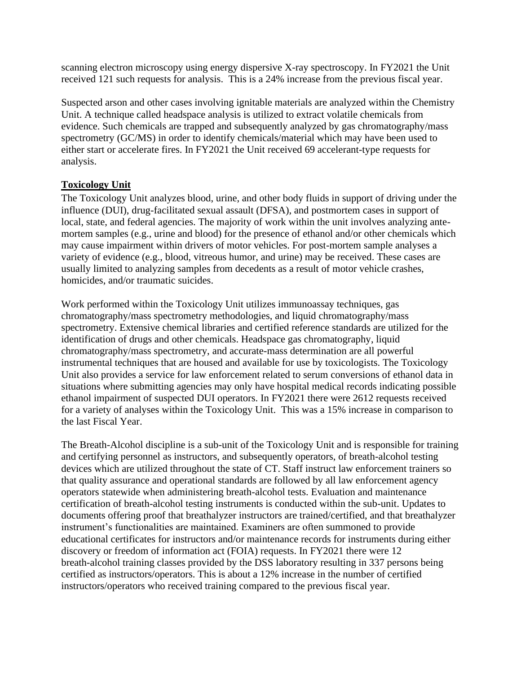scanning electron microscopy using energy dispersive X-ray spectroscopy. In FY2021 the Unit received 121 such requests for analysis. This is a 24% increase from the previous fiscal year.

Suspected arson and other cases involving ignitable materials are analyzed within the Chemistry Unit. A technique called headspace analysis is utilized to extract volatile chemicals from evidence. Such chemicals are trapped and subsequently analyzed by gas chromatography/mass spectrometry (GC/MS) in order to identify chemicals/material which may have been used to either start or accelerate fires. In FY2021 the Unit received 69 accelerant-type requests for analysis.

# **Toxicology Unit**

The Toxicology Unit analyzes blood, urine, and other body fluids in support of driving under the influence (DUI), drug-facilitated sexual assault (DFSA), and postmortem cases in support of local, state, and federal agencies. The majority of work within the unit involves analyzing antemortem samples (e.g., urine and blood) for the presence of ethanol and/or other chemicals which may cause impairment within drivers of motor vehicles. For post-mortem sample analyses a variety of evidence (e.g., blood, vitreous humor, and urine) may be received. These cases are usually limited to analyzing samples from decedents as a result of motor vehicle crashes, homicides, and/or traumatic suicides.

Work performed within the Toxicology Unit utilizes immunoassay techniques, gas chromatography/mass spectrometry methodologies, and liquid chromatography/mass spectrometry. Extensive chemical libraries and certified reference standards are utilized for the identification of drugs and other chemicals. Headspace gas chromatography, liquid chromatography/mass spectrometry, and accurate-mass determination are all powerful instrumental techniques that are housed and available for use by toxicologists. The Toxicology Unit also provides a service for law enforcement related to serum conversions of ethanol data in situations where submitting agencies may only have hospital medical records indicating possible ethanol impairment of suspected DUI operators. In FY2021 there were 2612 requests received for a variety of analyses within the Toxicology Unit. This was a 15% increase in comparison to the last Fiscal Year.

The Breath-Alcohol discipline is a sub-unit of the Toxicology Unit and is responsible for training and certifying personnel as instructors, and subsequently operators, of breath-alcohol testing devices which are utilized throughout the state of CT. Staff instruct law enforcement trainers so that quality assurance and operational standards are followed by all law enforcement agency operators statewide when administering breath-alcohol tests. Evaluation and maintenance certification of breath-alcohol testing instruments is conducted within the sub-unit. Updates to documents offering proof that breathalyzer instructors are trained/certified, and that breathalyzer instrument's functionalities are maintained. Examiners are often summoned to provide educational certificates for instructors and/or maintenance records for instruments during either discovery or freedom of information act (FOIA) requests. In FY2021 there were 12 breath-alcohol training classes provided by the DSS laboratory resulting in 337 persons being certified as instructors/operators. This is about a 12% increase in the number of certified instructors/operators who received training compared to the previous fiscal year.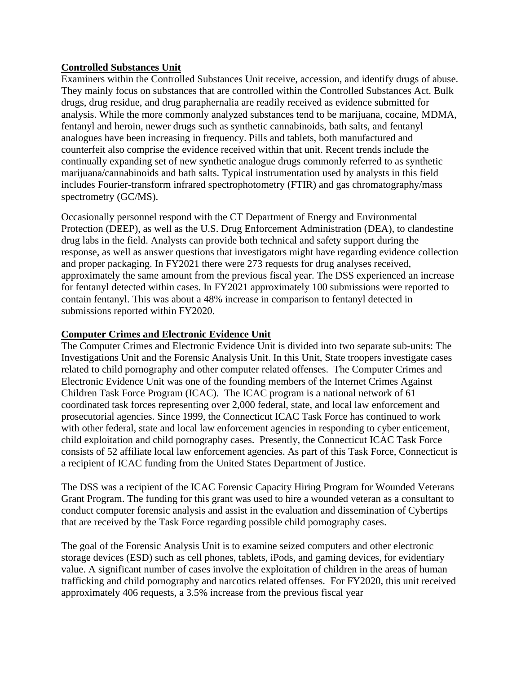### **Controlled Substances Unit**

Examiners within the Controlled Substances Unit receive, accession, and identify drugs of abuse. They mainly focus on substances that are controlled within the Controlled Substances Act. Bulk drugs, drug residue, and drug paraphernalia are readily received as evidence submitted for analysis. While the more commonly analyzed substances tend to be marijuana, cocaine, MDMA, fentanyl and heroin, newer drugs such as synthetic cannabinoids, bath salts, and fentanyl analogues have been increasing in frequency. Pills and tablets, both manufactured and counterfeit also comprise the evidence received within that unit. Recent trends include the continually expanding set of new synthetic analogue drugs commonly referred to as synthetic marijuana/cannabinoids and bath salts. Typical instrumentation used by analysts in this field includes Fourier-transform infrared spectrophotometry (FTIR) and gas chromatography/mass spectrometry (GC/MS).

Occasionally personnel respond with the CT Department of Energy and Environmental Protection (DEEP), as well as the U.S. Drug Enforcement Administration (DEA), to clandestine drug labs in the field. Analysts can provide both technical and safety support during the response, as well as answer questions that investigators might have regarding evidence collection and proper packaging. In FY2021 there were 273 requests for drug analyses received, approximately the same amount from the previous fiscal year. The DSS experienced an increase for fentanyl detected within cases. In FY2021 approximately 100 submissions were reported to contain fentanyl. This was about a 48% increase in comparison to fentanyl detected in submissions reported within FY2020.

### **Computer Crimes and Electronic Evidence Unit**

The Computer Crimes and Electronic Evidence Unit is divided into two separate sub-units: The Investigations Unit and the Forensic Analysis Unit. In this Unit, State troopers investigate cases related to child pornography and other computer related offenses. The Computer Crimes and Electronic Evidence Unit was one of the founding members of the Internet Crimes Against Children Task Force Program (ICAC). The ICAC program is a national network of 61 coordinated task forces representing over 2,000 federal, state, and local law enforcement and prosecutorial agencies. Since 1999, the Connecticut ICAC Task Force has continued to work with other federal, state and local law enforcement agencies in responding to cyber enticement, child exploitation and child pornography cases. Presently, the Connecticut ICAC Task Force consists of 52 affiliate local law enforcement agencies. As part of this Task Force, Connecticut is a recipient of ICAC funding from the United States Department of Justice.

The DSS was a recipient of the ICAC Forensic Capacity Hiring Program for Wounded Veterans Grant Program. The funding for this grant was used to hire a wounded veteran as a consultant to conduct computer forensic analysis and assist in the evaluation and dissemination of Cybertips that are received by the Task Force regarding possible child pornography cases.

The goal of the Forensic Analysis Unit is to examine seized computers and other electronic storage devices (ESD) such as cell phones, tablets, iPods, and gaming devices, for evidentiary value. A significant number of cases involve the exploitation of children in the areas of human trafficking and child pornography and narcotics related offenses. For FY2020, this unit received approximately 406 requests, a 3.5% increase from the previous fiscal year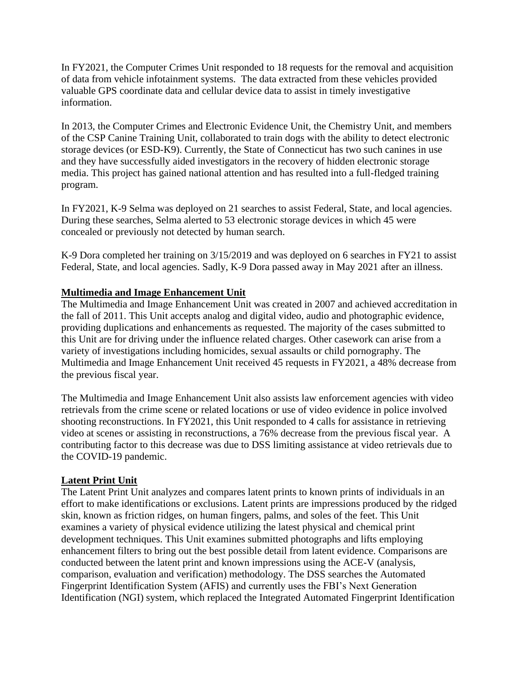In FY2021, the Computer Crimes Unit responded to 18 requests for the removal and acquisition of data from vehicle infotainment systems. The data extracted from these vehicles provided valuable GPS coordinate data and cellular device data to assist in timely investigative information.

In 2013, the Computer Crimes and Electronic Evidence Unit, the Chemistry Unit, and members of the CSP Canine Training Unit, collaborated to train dogs with the ability to detect electronic storage devices (or ESD-K9). Currently, the State of Connecticut has two such canines in use and they have successfully aided investigators in the recovery of hidden electronic storage media. This project has gained national attention and has resulted into a full-fledged training program.

In FY2021, K-9 Selma was deployed on 21 searches to assist Federal, State, and local agencies. During these searches, Selma alerted to 53 electronic storage devices in which 45 were concealed or previously not detected by human search.

K-9 Dora completed her training on 3/15/2019 and was deployed on 6 searches in FY21 to assist Federal, State, and local agencies. Sadly, K-9 Dora passed away in May 2021 after an illness.

#### **Multimedia and Image Enhancement Unit**

The Multimedia and Image Enhancement Unit was created in 2007 and achieved accreditation in the fall of 2011. This Unit accepts analog and digital video, audio and photographic evidence, providing duplications and enhancements as requested. The majority of the cases submitted to this Unit are for driving under the influence related charges. Other casework can arise from a variety of investigations including homicides, sexual assaults or child pornography. The Multimedia and Image Enhancement Unit received 45 requests in FY2021, a 48% decrease from the previous fiscal year.

The Multimedia and Image Enhancement Unit also assists law enforcement agencies with video retrievals from the crime scene or related locations or use of video evidence in police involved shooting reconstructions. In FY2021, this Unit responded to 4 calls for assistance in retrieving video at scenes or assisting in reconstructions, a 76% decrease from the previous fiscal year. A contributing factor to this decrease was due to DSS limiting assistance at video retrievals due to the COVID-19 pandemic.

#### **Latent Print Unit**

The Latent Print Unit analyzes and compares latent prints to known prints of individuals in an effort to make identifications or exclusions. Latent prints are impressions produced by the ridged skin, known as friction ridges, on human fingers, palms, and soles of the feet. This Unit examines a variety of physical evidence utilizing the latest physical and chemical print development techniques. This Unit examines submitted photographs and lifts employing enhancement filters to bring out the best possible detail from latent evidence. Comparisons are conducted between the latent print and known impressions using the ACE-V (analysis, comparison, evaluation and verification) methodology. The DSS searches the Automated Fingerprint Identification System (AFIS) and currently uses the FBI's Next Generation Identification (NGI) system, which replaced the Integrated Automated Fingerprint Identification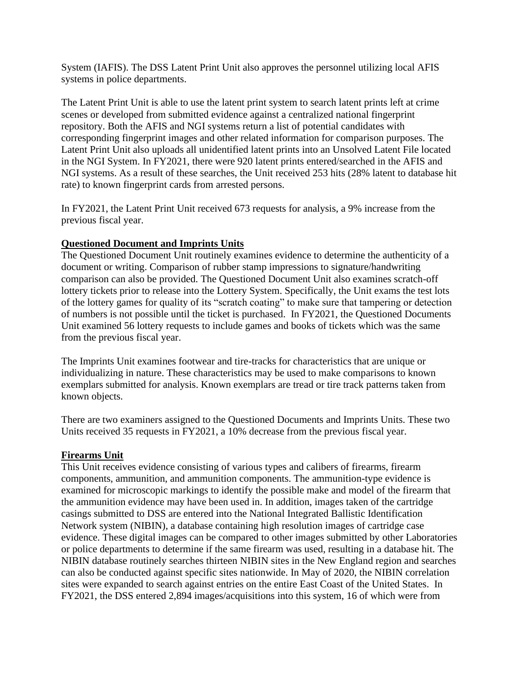System (IAFIS). The DSS Latent Print Unit also approves the personnel utilizing local AFIS systems in police departments.

The Latent Print Unit is able to use the latent print system to search latent prints left at crime scenes or developed from submitted evidence against a centralized national fingerprint repository. Both the AFIS and NGI systems return a list of potential candidates with corresponding fingerprint images and other related information for comparison purposes. The Latent Print Unit also uploads all unidentified latent prints into an Unsolved Latent File located in the NGI System. In FY2021, there were 920 latent prints entered/searched in the AFIS and NGI systems. As a result of these searches, the Unit received 253 hits (28% latent to database hit rate) to known fingerprint cards from arrested persons.

In FY2021, the Latent Print Unit received 673 requests for analysis, a 9% increase from the previous fiscal year.

# **Questioned Document and Imprints Units**

The Questioned Document Unit routinely examines evidence to determine the authenticity of a document or writing. Comparison of rubber stamp impressions to signature/handwriting comparison can also be provided. The Questioned Document Unit also examines scratch-off lottery tickets prior to release into the Lottery System. Specifically, the Unit exams the test lots of the lottery games for quality of its "scratch coating" to make sure that tampering or detection of numbers is not possible until the ticket is purchased. In FY2021, the Questioned Documents Unit examined 56 lottery requests to include games and books of tickets which was the same from the previous fiscal year.

The Imprints Unit examines footwear and tire-tracks for characteristics that are unique or individualizing in nature. These characteristics may be used to make comparisons to known exemplars submitted for analysis. Known exemplars are tread or tire track patterns taken from known objects.

There are two examiners assigned to the Questioned Documents and Imprints Units. These two Units received 35 requests in FY2021, a 10% decrease from the previous fiscal year.

#### **Firearms Unit**

This Unit receives evidence consisting of various types and calibers of firearms, firearm components, ammunition, and ammunition components. The ammunition-type evidence is examined for microscopic markings to identify the possible make and model of the firearm that the ammunition evidence may have been used in. In addition, images taken of the cartridge casings submitted to DSS are entered into the National Integrated Ballistic Identification Network system (NIBIN), a database containing high resolution images of cartridge case evidence. These digital images can be compared to other images submitted by other Laboratories or police departments to determine if the same firearm was used, resulting in a database hit. The NIBIN database routinely searches thirteen NIBIN sites in the New England region and searches can also be conducted against specific sites nationwide. In May of 2020, the NIBIN correlation sites were expanded to search against entries on the entire East Coast of the United States. In FY2021, the DSS entered 2,894 images/acquisitions into this system, 16 of which were from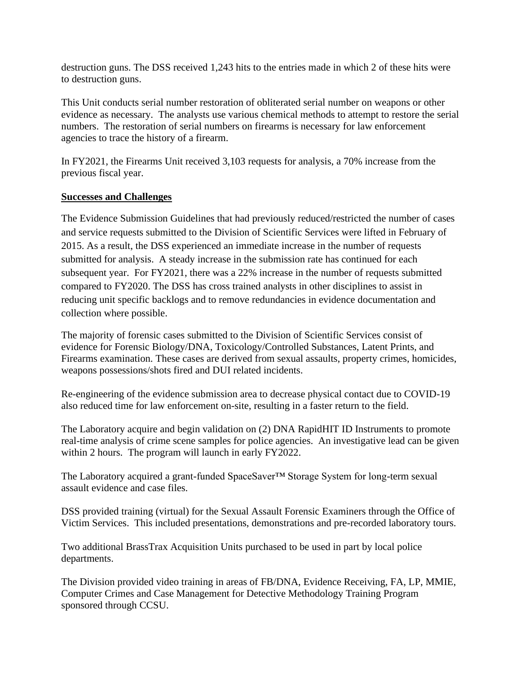destruction guns. The DSS received 1,243 hits to the entries made in which 2 of these hits were to destruction guns.

This Unit conducts serial number restoration of obliterated serial number on weapons or other evidence as necessary. The analysts use various chemical methods to attempt to restore the serial numbers. The restoration of serial numbers on firearms is necessary for law enforcement agencies to trace the history of a firearm.

In FY2021, the Firearms Unit received 3,103 requests for analysis, a 70% increase from the previous fiscal year.

#### **Successes and Challenges**

The Evidence Submission Guidelines that had previously reduced/restricted the number of cases and service requests submitted to the Division of Scientific Services were lifted in February of 2015. As a result, the DSS experienced an immediate increase in the number of requests submitted for analysis. A steady increase in the submission rate has continued for each subsequent year. For FY2021, there was a 22% increase in the number of requests submitted compared to FY2020. The DSS has cross trained analysts in other disciplines to assist in reducing unit specific backlogs and to remove redundancies in evidence documentation and collection where possible.

The majority of forensic cases submitted to the Division of Scientific Services consist of evidence for Forensic Biology/DNA, Toxicology/Controlled Substances, Latent Prints, and Firearms examination. These cases are derived from sexual assaults, property crimes, homicides, weapons possessions/shots fired and DUI related incidents.

Re-engineering of the evidence submission area to decrease physical contact due to COVID-19 also reduced time for law enforcement on-site, resulting in a faster return to the field.

The Laboratory acquire and begin validation on (2) DNA RapidHIT ID Instruments to promote real-time analysis of crime scene samples for police agencies. An investigative lead can be given within 2 hours. The program will launch in early FY2022.

The Laboratory acquired a grant-funded SpaceSaver™ Storage System for long-term sexual assault evidence and case files.

DSS provided training (virtual) for the Sexual Assault Forensic Examiners through the Office of Victim Services. This included presentations, demonstrations and pre-recorded laboratory tours.

Two additional BrassTrax Acquisition Units purchased to be used in part by local police departments.

The Division provided video training in areas of FB/DNA, Evidence Receiving, FA, LP, MMIE, Computer Crimes and Case Management for Detective Methodology Training Program sponsored through CCSU.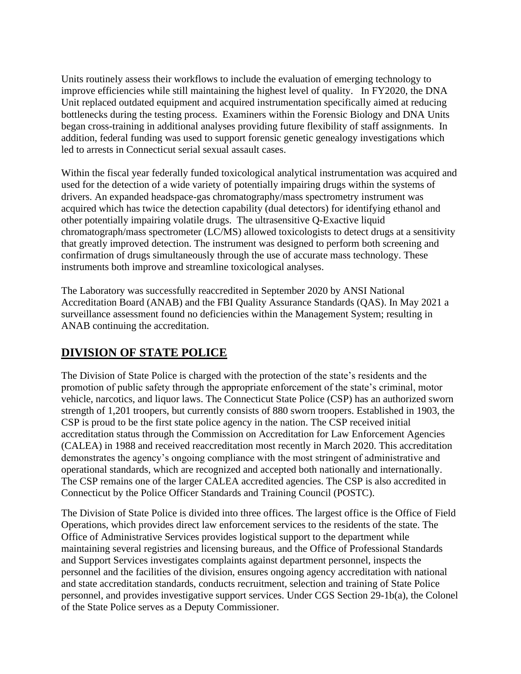Units routinely assess their workflows to include the evaluation of emerging technology to improve efficiencies while still maintaining the highest level of quality. In FY2020, the DNA Unit replaced outdated equipment and acquired instrumentation specifically aimed at reducing bottlenecks during the testing process. Examiners within the Forensic Biology and DNA Units began cross-training in additional analyses providing future flexibility of staff assignments. In addition, federal funding was used to support forensic genetic genealogy investigations which led to arrests in Connecticut serial sexual assault cases.

Within the fiscal year federally funded toxicological analytical instrumentation was acquired and used for the detection of a wide variety of potentially impairing drugs within the systems of drivers. An expanded headspace-gas chromatography/mass spectrometry instrument was acquired which has twice the detection capability (dual detectors) for identifying ethanol and other potentially impairing volatile drugs. The ultrasensitive Q-Exactive liquid chromatograph/mass spectrometer (LC/MS) allowed toxicologists to detect drugs at a sensitivity that greatly improved detection. The instrument was designed to perform both screening and confirmation of drugs simultaneously through the use of accurate mass technology. These instruments both improve and streamline toxicological analyses.

The Laboratory was successfully reaccredited in September 2020 by ANSI National Accreditation Board (ANAB) and the FBI Quality Assurance Standards (QAS). In May 2021 a surveillance assessment found no deficiencies within the Management System; resulting in ANAB continuing the accreditation.

# **DIVISION OF STATE POLICE**

The Division of State Police is charged with the protection of the state's residents and the promotion of public safety through the appropriate enforcement of the state's criminal, motor vehicle, narcotics, and liquor laws. The Connecticut State Police (CSP) has an authorized sworn strength of 1,201 troopers, but currently consists of 880 sworn troopers. Established in 1903, the CSP is proud to be the first state police agency in the nation. The CSP received initial accreditation status through the Commission on Accreditation for Law Enforcement Agencies (CALEA) in 1988 and received reaccreditation most recently in March 2020. This accreditation demonstrates the agency's ongoing compliance with the most stringent of administrative and operational standards, which are recognized and accepted both nationally and internationally. The CSP remains one of the larger CALEA accredited agencies. The CSP is also accredited in Connecticut by the Police Officer Standards and Training Council (POSTC).

The Division of State Police is divided into three offices. The largest office is the Office of Field Operations, which provides direct law enforcement services to the residents of the state. The Office of Administrative Services provides logistical support to the department while maintaining several registries and licensing bureaus, and the Office of Professional Standards and Support Services investigates complaints against department personnel, inspects the personnel and the facilities of the division, ensures ongoing agency accreditation with national and state accreditation standards, conducts recruitment, selection and training of State Police personnel, and provides investigative support services. Under CGS Section 29-1b(a), the Colonel of the State Police serves as a Deputy Commissioner.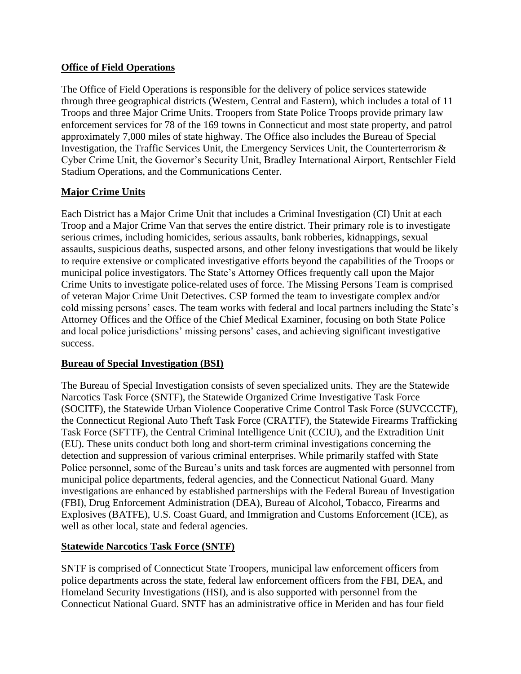# **Office of Field Operations**

The Office of Field Operations is responsible for the delivery of police services statewide through three geographical districts (Western, Central and Eastern), which includes a total of 11 Troops and three Major Crime Units. Troopers from State Police Troops provide primary law enforcement services for 78 of the 169 towns in Connecticut and most state property, and patrol approximately 7,000 miles of state highway. The Office also includes the Bureau of Special Investigation, the Traffic Services Unit, the Emergency Services Unit, the Counterterrorism & Cyber Crime Unit, the Governor's Security Unit, Bradley International Airport, Rentschler Field Stadium Operations, and the Communications Center.

# **Major Crime Units**

Each District has a Major Crime Unit that includes a Criminal Investigation (CI) Unit at each Troop and a Major Crime Van that serves the entire district. Their primary role is to investigate serious crimes, including homicides, serious assaults, bank robberies, kidnappings, sexual assaults, suspicious deaths, suspected arsons, and other felony investigations that would be likely to require extensive or complicated investigative efforts beyond the capabilities of the Troops or municipal police investigators. The State's Attorney Offices frequently call upon the Major Crime Units to investigate police-related uses of force. The Missing Persons Team is comprised of veteran Major Crime Unit Detectives. CSP formed the team to investigate complex and/or cold missing persons' cases. The team works with federal and local partners including the State's Attorney Offices and the Office of the Chief Medical Examiner, focusing on both State Police and local police jurisdictions' missing persons' cases, and achieving significant investigative success.

# **Bureau of Special Investigation (BSI)**

The Bureau of Special Investigation consists of seven specialized units. They are the Statewide Narcotics Task Force (SNTF), the Statewide Organized Crime Investigative Task Force (SOCITF), the Statewide Urban Violence Cooperative Crime Control Task Force (SUVCCCTF), the Connecticut Regional Auto Theft Task Force (CRATTF), the Statewide Firearms Trafficking Task Force (SFTTF), the Central Criminal Intelligence Unit (CCIU), and the Extradition Unit (EU). These units conduct both long and short-term criminal investigations concerning the detection and suppression of various criminal enterprises. While primarily staffed with State Police personnel, some of the Bureau's units and task forces are augmented with personnel from municipal police departments, federal agencies, and the Connecticut National Guard. Many investigations are enhanced by established partnerships with the Federal Bureau of Investigation (FBI), Drug Enforcement Administration (DEA), Bureau of Alcohol, Tobacco, Firearms and Explosives (BATFE), U.S. Coast Guard, and Immigration and Customs Enforcement (ICE), as well as other local, state and federal agencies.

# **Statewide Narcotics Task Force (SNTF)**

SNTF is comprised of Connecticut State Troopers, municipal law enforcement officers from police departments across the state, federal law enforcement officers from the FBI, DEA, and Homeland Security Investigations (HSI), and is also supported with personnel from the Connecticut National Guard. SNTF has an administrative office in Meriden and has four field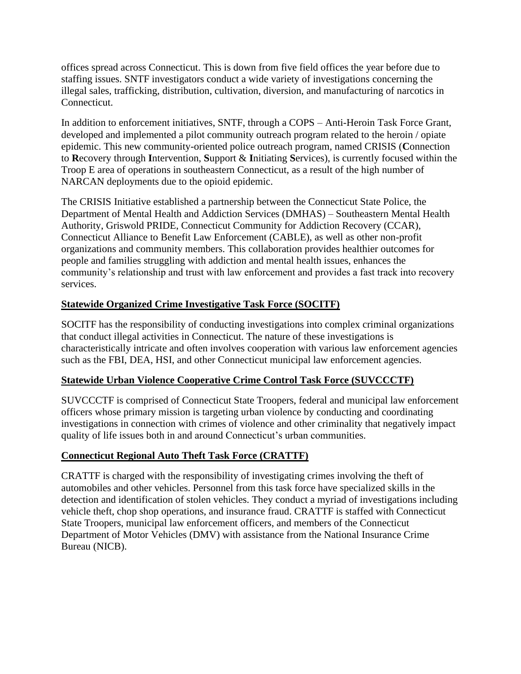offices spread across Connecticut. This is down from five field offices the year before due to staffing issues. SNTF investigators conduct a wide variety of investigations concerning the illegal sales, trafficking, distribution, cultivation, diversion, and manufacturing of narcotics in Connecticut.

In addition to enforcement initiatives, SNTF, through a COPS – Anti-Heroin Task Force Grant, developed and implemented a pilot community outreach program related to the heroin / opiate epidemic. This new community-oriented police outreach program, named CRISIS (**C**onnection to **R**ecovery through **I**ntervention, **S**upport & **I**nitiating **S**ervices), is currently focused within the Troop E area of operations in southeastern Connecticut, as a result of the high number of NARCAN deployments due to the opioid epidemic.

The CRISIS Initiative established a partnership between the Connecticut State Police, the Department of Mental Health and Addiction Services (DMHAS) – Southeastern Mental Health Authority, Griswold PRIDE, Connecticut Community for Addiction Recovery (CCAR), Connecticut Alliance to Benefit Law Enforcement (CABLE), as well as other non-profit organizations and community members. This collaboration provides healthier outcomes for people and families struggling with addiction and mental health issues, enhances the community's relationship and trust with law enforcement and provides a fast track into recovery services.

# **Statewide Organized Crime Investigative Task Force (SOCITF)**

SOCITF has the responsibility of conducting investigations into complex criminal organizations that conduct illegal activities in Connecticut. The nature of these investigations is characteristically intricate and often involves cooperation with various law enforcement agencies such as the FBI, DEA, HSI, and other Connecticut municipal law enforcement agencies.

# **Statewide Urban Violence Cooperative Crime Control Task Force (SUVCCCTF)**

SUVCCCTF is comprised of Connecticut State Troopers, federal and municipal law enforcement officers whose primary mission is targeting urban violence by conducting and coordinating investigations in connection with crimes of violence and other criminality that negatively impact quality of life issues both in and around Connecticut's urban communities.

# **Connecticut Regional Auto Theft Task Force (CRATTF)**

CRATTF is charged with the responsibility of investigating crimes involving the theft of automobiles and other vehicles. Personnel from this task force have specialized skills in the detection and identification of stolen vehicles. They conduct a myriad of investigations including vehicle theft, chop shop operations, and insurance fraud. CRATTF is staffed with Connecticut State Troopers, municipal law enforcement officers, and members of the Connecticut Department of Motor Vehicles (DMV) with assistance from the National Insurance Crime Bureau (NICB).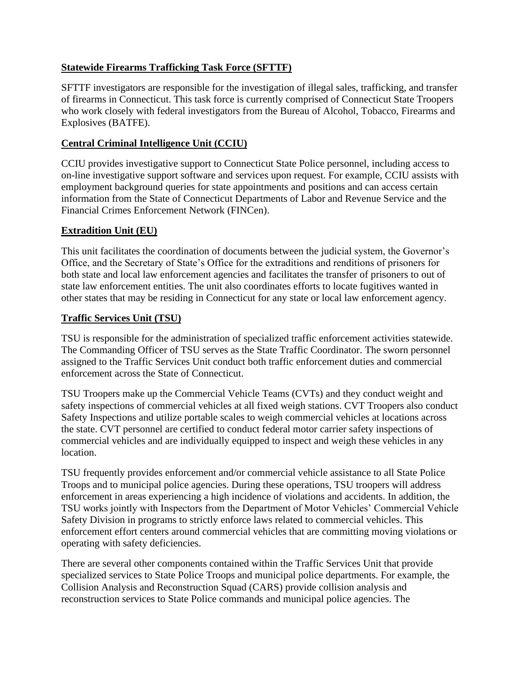# **Statewide Firearms Trafficking Task Force (SFTTF)**

SFTTF investigators are responsible for the investigation of illegal sales, trafficking, and transfer of firearms in Connecticut. This task force is currently comprised of Connecticut State Troopers who work closely with federal investigators from the Bureau of Alcohol, Tobacco, Firearms and Explosives (BATFE).

# **Central Criminal Intelligence Unit (CCIU)**

CCIU provides investigative support to Connecticut State Police personnel, including access to on-line investigative support software and services upon request. For example, CCIU assists with employment background queries for state appointments and positions and can access certain information from the State of Connecticut Departments of Labor and Revenue Service and the Financial Crimes Enforcement Network (FINCen).

# **Extradition Unit (EU)**

This unit facilitates the coordination of documents between the judicial system, the Governor's Office, and the Secretary of State's Office for the extraditions and renditions of prisoners for both state and local law enforcement agencies and facilitates the transfer of prisoners to out of state law enforcement entities. The unit also coordinates efforts to locate fugitives wanted in other states that may be residing in Connecticut for any state or local law enforcement agency.

# **Traffic Services Unit (TSU)**

TSU is responsible for the administration of specialized traffic enforcement activities statewide. The Commanding Officer of TSU serves as the State Traffic Coordinator. The sworn personnel assigned to the Traffic Services Unit conduct both traffic enforcement duties and commercial enforcement across the State of Connecticut.

TSU Troopers make up the Commercial Vehicle Teams (CVTs) and they conduct weight and safety inspections of commercial vehicles at all fixed weigh stations. CVT Troopers also conduct Safety Inspections and utilize portable scales to weigh commercial vehicles at locations across the state. CVT personnel are certified to conduct federal motor carrier safety inspections of commercial vehicles and are individually equipped to inspect and weigh these vehicles in any location.

TSU frequently provides enforcement and/or commercial vehicle assistance to all State Police Troops and to municipal police agencies. During these operations, TSU troopers will address enforcement in areas experiencing a high incidence of violations and accidents. In addition, the TSU works jointly with Inspectors from the Department of Motor Vehicles' Commercial Vehicle Safety Division in programs to strictly enforce laws related to commercial vehicles. This enforcement effort centers around commercial vehicles that are committing moving violations or operating with safety deficiencies.

There are several other components contained within the Traffic Services Unit that provide specialized services to State Police Troops and municipal police departments. For example, the Collision Analysis and Reconstruction Squad (CARS) provide collision analysis and reconstruction services to State Police commands and municipal police agencies. The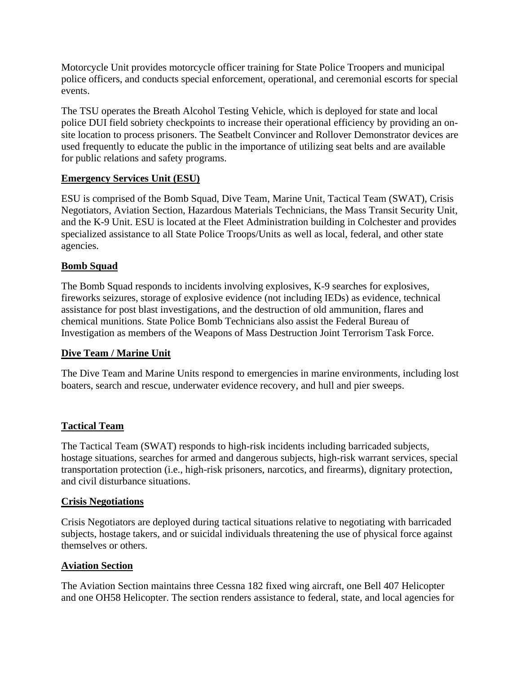Motorcycle Unit provides motorcycle officer training for State Police Troopers and municipal police officers, and conducts special enforcement, operational, and ceremonial escorts for special events.

The TSU operates the Breath Alcohol Testing Vehicle, which is deployed for state and local police DUI field sobriety checkpoints to increase their operational efficiency by providing an onsite location to process prisoners. The Seatbelt Convincer and Rollover Demonstrator devices are used frequently to educate the public in the importance of utilizing seat belts and are available for public relations and safety programs.

# **Emergency Services Unit (ESU)**

ESU is comprised of the Bomb Squad, Dive Team, Marine Unit, Tactical Team (SWAT), Crisis Negotiators, Aviation Section, Hazardous Materials Technicians, the Mass Transit Security Unit, and the K-9 Unit. ESU is located at the Fleet Administration building in Colchester and provides specialized assistance to all State Police Troops/Units as well as local, federal, and other state agencies.

#### **Bomb Squad**

The Bomb Squad responds to incidents involving explosives, K-9 searches for explosives, fireworks seizures, storage of explosive evidence (not including IEDs) as evidence, technical assistance for post blast investigations, and the destruction of old ammunition, flares and chemical munitions. State Police Bomb Technicians also assist the Federal Bureau of Investigation as members of the Weapons of Mass Destruction Joint Terrorism Task Force.

# **Dive Team / Marine Unit**

The Dive Team and Marine Units respond to emergencies in marine environments, including lost boaters, search and rescue, underwater evidence recovery, and hull and pier sweeps.

#### **Tactical Team**

The Tactical Team (SWAT) responds to high-risk incidents including barricaded subjects, hostage situations, searches for armed and dangerous subjects, high-risk warrant services, special transportation protection (i.e., high-risk prisoners, narcotics, and firearms), dignitary protection, and civil disturbance situations.

#### **Crisis Negotiations**

Crisis Negotiators are deployed during tactical situations relative to negotiating with barricaded subjects, hostage takers, and or suicidal individuals threatening the use of physical force against themselves or others.

#### **Aviation Section**

The Aviation Section maintains three Cessna 182 fixed wing aircraft, one Bell 407 Helicopter and one OH58 Helicopter. The section renders assistance to federal, state, and local agencies for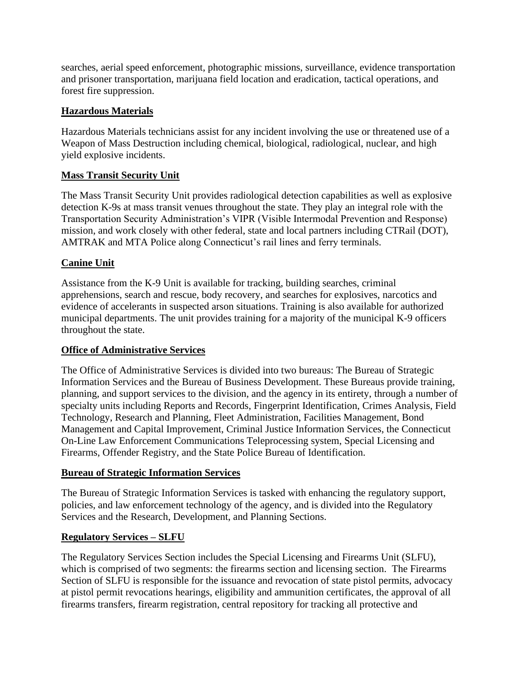searches, aerial speed enforcement, photographic missions, surveillance, evidence transportation and prisoner transportation, marijuana field location and eradication, tactical operations, and forest fire suppression.

# **Hazardous Materials**

Hazardous Materials technicians assist for any incident involving the use or threatened use of a Weapon of Mass Destruction including chemical, biological, radiological, nuclear, and high yield explosive incidents.

# **Mass Transit Security Unit**

The Mass Transit Security Unit provides radiological detection capabilities as well as explosive detection K-9s at mass transit venues throughout the state. They play an integral role with the Transportation Security Administration's VIPR (Visible Intermodal Prevention and Response) mission, and work closely with other federal, state and local partners including CTRail (DOT), AMTRAK and MTA Police along Connecticut's rail lines and ferry terminals.

# **Canine Unit**

Assistance from the K-9 Unit is available for tracking, building searches, criminal apprehensions, search and rescue, body recovery, and searches for explosives, narcotics and evidence of accelerants in suspected arson situations. Training is also available for authorized municipal departments. The unit provides training for a majority of the municipal K-9 officers throughout the state.

# **Office of Administrative Services**

The Office of Administrative Services is divided into two bureaus: The Bureau of Strategic Information Services and the Bureau of Business Development. These Bureaus provide training, planning, and support services to the division, and the agency in its entirety, through a number of specialty units including Reports and Records, Fingerprint Identification, Crimes Analysis, Field Technology, Research and Planning, Fleet Administration, Facilities Management, Bond Management and Capital Improvement, Criminal Justice Information Services, the Connecticut On-Line Law Enforcement Communications Teleprocessing system, Special Licensing and Firearms, Offender Registry, and the State Police Bureau of Identification.

# **Bureau of Strategic Information Services**

The Bureau of Strategic Information Services is tasked with enhancing the regulatory support, policies, and law enforcement technology of the agency, and is divided into the Regulatory Services and the Research, Development, and Planning Sections.

# **Regulatory Services – SLFU**

The Regulatory Services Section includes the Special Licensing and Firearms Unit (SLFU), which is comprised of two segments: the firearms section and licensing section. The Firearms Section of SLFU is responsible for the issuance and revocation of state pistol permits, advocacy at pistol permit revocations hearings, eligibility and ammunition certificates, the approval of all firearms transfers, firearm registration, central repository for tracking all protective and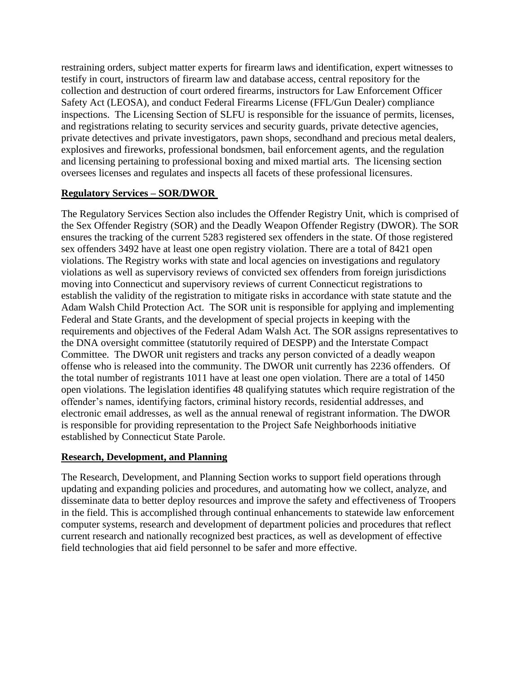restraining orders, subject matter experts for firearm laws and identification, expert witnesses to testify in court, instructors of firearm law and database access, central repository for the collection and destruction of court ordered firearms, instructors for Law Enforcement Officer Safety Act (LEOSA), and conduct Federal Firearms License (FFL/Gun Dealer) compliance inspections. The Licensing Section of SLFU is responsible for the issuance of permits, licenses, and registrations relating to security services and security guards, private detective agencies, private detectives and private investigators, pawn shops, secondhand and precious metal dealers, explosives and fireworks, professional bondsmen, bail enforcement agents, and the regulation and licensing pertaining to professional boxing and mixed martial arts. The licensing section oversees licenses and regulates and inspects all facets of these professional licensures.

# **Regulatory Services – SOR/DWOR**

The Regulatory Services Section also includes the Offender Registry Unit, which is comprised of the Sex Offender Registry (SOR) and the Deadly Weapon Offender Registry (DWOR). The SOR ensures the tracking of the current 5283 registered sex offenders in the state. Of those registered sex offenders 3492 have at least one open registry violation. There are a total of 8421 open violations. The Registry works with state and local agencies on investigations and regulatory violations as well as supervisory reviews of convicted sex offenders from foreign jurisdictions moving into Connecticut and supervisory reviews of current Connecticut registrations to establish the validity of the registration to mitigate risks in accordance with state statute and the Adam Walsh Child Protection Act. The SOR unit is responsible for applying and implementing Federal and State Grants, and the development of special projects in keeping with the requirements and objectives of the Federal Adam Walsh Act. The SOR assigns representatives to the DNA oversight committee (statutorily required of DESPP) and the Interstate Compact Committee. The DWOR unit registers and tracks any person convicted of a deadly weapon offense who is released into the community. The DWOR unit currently has 2236 offenders. Of the total number of registrants 1011 have at least one open violation. There are a total of 1450 open violations. The legislation identifies 48 qualifying statutes which require registration of the offender's names, identifying factors, criminal history records, residential addresses, and electronic email addresses, as well as the annual renewal of registrant information. The DWOR is responsible for providing representation to the Project Safe Neighborhoods initiative established by Connecticut State Parole.

# **Research, Development, and Planning**

The Research, Development, and Planning Section works to support field operations through updating and expanding policies and procedures, and automating how we collect, analyze, and disseminate data to better deploy resources and improve the safety and effectiveness of Troopers in the field. This is accomplished through continual enhancements to statewide law enforcement computer systems, research and development of department policies and procedures that reflect current research and nationally recognized best practices, as well as development of effective field technologies that aid field personnel to be safer and more effective.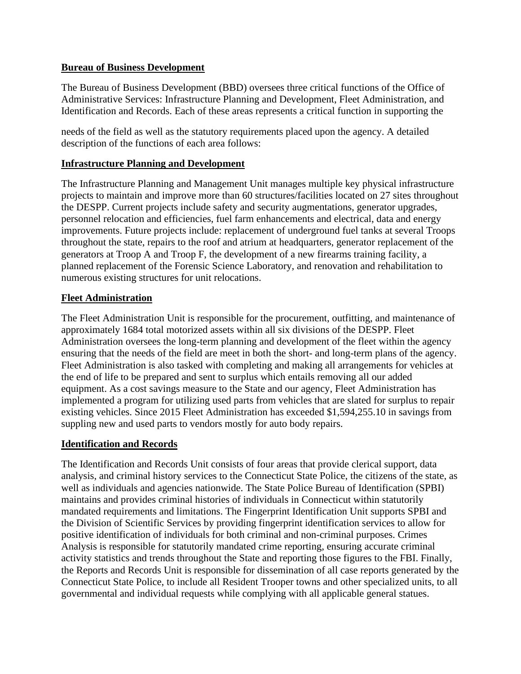### **Bureau of Business Development**

The Bureau of Business Development (BBD) oversees three critical functions of the Office of Administrative Services: Infrastructure Planning and Development, Fleet Administration, and Identification and Records. Each of these areas represents a critical function in supporting the

needs of the field as well as the statutory requirements placed upon the agency. A detailed description of the functions of each area follows:

# **Infrastructure Planning and Development**

The Infrastructure Planning and Management Unit manages multiple key physical infrastructure projects to maintain and improve more than 60 structures/facilities located on 27 sites throughout the DESPP. Current projects include safety and security augmentations, generator upgrades, personnel relocation and efficiencies, fuel farm enhancements and electrical, data and energy improvements. Future projects include: replacement of underground fuel tanks at several Troops throughout the state, repairs to the roof and atrium at headquarters, generator replacement of the generators at Troop A and Troop F, the development of a new firearms training facility, a planned replacement of the Forensic Science Laboratory, and renovation and rehabilitation to numerous existing structures for unit relocations.

# **Fleet Administration**

The Fleet Administration Unit is responsible for the procurement, outfitting, and maintenance of approximately 1684 total motorized assets within all six divisions of the DESPP. Fleet Administration oversees the long-term planning and development of the fleet within the agency ensuring that the needs of the field are meet in both the short- and long-term plans of the agency. Fleet Administration is also tasked with completing and making all arrangements for vehicles at the end of life to be prepared and sent to surplus which entails removing all our added equipment. As a cost savings measure to the State and our agency, Fleet Administration has implemented a program for utilizing used parts from vehicles that are slated for surplus to repair existing vehicles. Since 2015 Fleet Administration has exceeded \$1,594,255.10 in savings from suppling new and used parts to vendors mostly for auto body repairs.

# **Identification and Records**

The Identification and Records Unit consists of four areas that provide clerical support, data analysis, and criminal history services to the Connecticut State Police, the citizens of the state, as well as individuals and agencies nationwide. The State Police Bureau of Identification (SPBI) maintains and provides criminal histories of individuals in Connecticut within statutorily mandated requirements and limitations. The Fingerprint Identification Unit supports SPBI and the Division of Scientific Services by providing fingerprint identification services to allow for positive identification of individuals for both criminal and non-criminal purposes. Crimes Analysis is responsible for statutorily mandated crime reporting, ensuring accurate criminal activity statistics and trends throughout the State and reporting those figures to the FBI. Finally, the Reports and Records Unit is responsible for dissemination of all case reports generated by the Connecticut State Police, to include all Resident Trooper towns and other specialized units, to all governmental and individual requests while complying with all applicable general statues.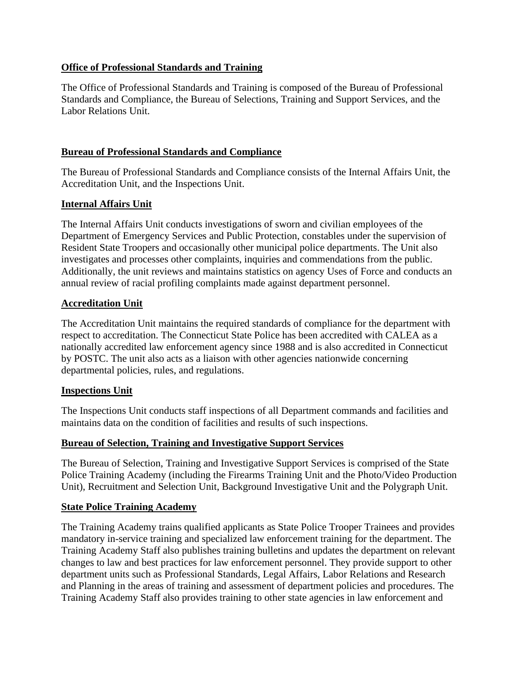# **Office of Professional Standards and Training**

The Office of Professional Standards and Training is composed of the Bureau of Professional Standards and Compliance, the Bureau of Selections, Training and Support Services, and the Labor Relations Unit.

#### **Bureau of Professional Standards and Compliance**

The Bureau of Professional Standards and Compliance consists of the Internal Affairs Unit, the Accreditation Unit, and the Inspections Unit.

#### **Internal Affairs Unit**

The Internal Affairs Unit conducts investigations of sworn and civilian employees of the Department of Emergency Services and Public Protection, constables under the supervision of Resident State Troopers and occasionally other municipal police departments. The Unit also investigates and processes other complaints, inquiries and commendations from the public. Additionally, the unit reviews and maintains statistics on agency Uses of Force and conducts an annual review of racial profiling complaints made against department personnel.

#### **Accreditation Unit**

The Accreditation Unit maintains the required standards of compliance for the department with respect to accreditation. The Connecticut State Police has been accredited with CALEA as a nationally accredited law enforcement agency since 1988 and is also accredited in Connecticut by POSTC. The unit also acts as a liaison with other agencies nationwide concerning departmental policies, rules, and regulations.

#### **Inspections Unit**

The Inspections Unit conducts staff inspections of all Department commands and facilities and maintains data on the condition of facilities and results of such inspections.

#### **Bureau of Selection, Training and Investigative Support Services**

The Bureau of Selection, Training and Investigative Support Services is comprised of the State Police Training Academy (including the Firearms Training Unit and the Photo/Video Production Unit), Recruitment and Selection Unit, Background Investigative Unit and the Polygraph Unit.

#### **State Police Training Academy**

The Training Academy trains qualified applicants as State Police Trooper Trainees and provides mandatory in-service training and specialized law enforcement training for the department. The Training Academy Staff also publishes training bulletins and updates the department on relevant changes to law and best practices for law enforcement personnel. They provide support to other department units such as Professional Standards, Legal Affairs, Labor Relations and Research and Planning in the areas of training and assessment of department policies and procedures. The Training Academy Staff also provides training to other state agencies in law enforcement and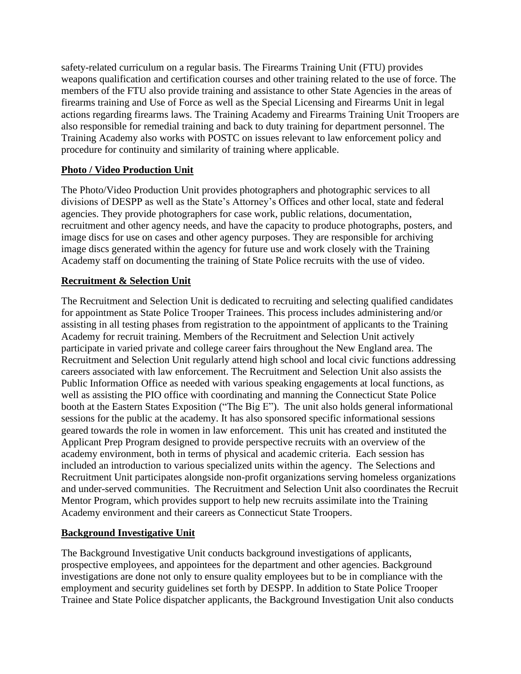safety-related curriculum on a regular basis. The Firearms Training Unit (FTU) provides weapons qualification and certification courses and other training related to the use of force. The members of the FTU also provide training and assistance to other State Agencies in the areas of firearms training and Use of Force as well as the Special Licensing and Firearms Unit in legal actions regarding firearms laws. The Training Academy and Firearms Training Unit Troopers are also responsible for remedial training and back to duty training for department personnel. The Training Academy also works with POSTC on issues relevant to law enforcement policy and procedure for continuity and similarity of training where applicable.

# **Photo / Video Production Unit**

The Photo/Video Production Unit provides photographers and photographic services to all divisions of DESPP as well as the State's Attorney's Offices and other local, state and federal agencies. They provide photographers for case work, public relations, documentation, recruitment and other agency needs, and have the capacity to produce photographs, posters, and image discs for use on cases and other agency purposes. They are responsible for archiving image discs generated within the agency for future use and work closely with the Training Academy staff on documenting the training of State Police recruits with the use of video.

# **Recruitment & Selection Unit**

The Recruitment and Selection Unit is dedicated to recruiting and selecting qualified candidates for appointment as State Police Trooper Trainees. This process includes administering and/or assisting in all testing phases from registration to the appointment of applicants to the Training Academy for recruit training. Members of the Recruitment and Selection Unit actively participate in varied private and college career fairs throughout the New England area. The Recruitment and Selection Unit regularly attend high school and local civic functions addressing careers associated with law enforcement. The Recruitment and Selection Unit also assists the Public Information Office as needed with various speaking engagements at local functions, as well as assisting the PIO office with coordinating and manning the Connecticut State Police booth at the Eastern States Exposition ("The Big E"). The unit also holds general informational sessions for the public at the academy. It has also sponsored specific informational sessions geared towards the role in women in law enforcement. This unit has created and instituted the Applicant Prep Program designed to provide perspective recruits with an overview of the academy environment, both in terms of physical and academic criteria. Each session has included an introduction to various specialized units within the agency. The Selections and Recruitment Unit participates alongside non-profit organizations serving homeless organizations and under-served communities. The Recruitment and Selection Unit also coordinates the Recruit Mentor Program, which provides support to help new recruits assimilate into the Training Academy environment and their careers as Connecticut State Troopers.

# **Background Investigative Unit**

The Background Investigative Unit conducts background investigations of applicants, prospective employees, and appointees for the department and other agencies. Background investigations are done not only to ensure quality employees but to be in compliance with the employment and security guidelines set forth by DESPP. In addition to State Police Trooper Trainee and State Police dispatcher applicants, the Background Investigation Unit also conducts